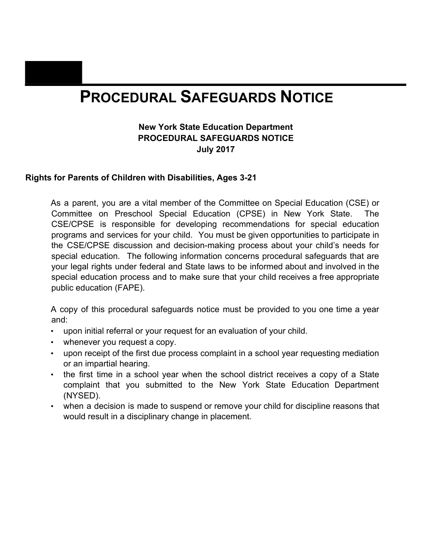# **Part BPROCEDURAL SAFEGUARDS NOTICE**

### **New York State Education Department PROCEDURAL SAFEGUARDS NOTICE July 2017**

### **Rights for Parents of Children with Disabilities, Ages 3-21**

As a parent, you are a vital member of the Committee on Special Education (CSE) or Committee on Preschool Special Education (CPSE) in New York State. The CSE/CPSE is responsible for developing recommendations for special education programs and services for your child. You must be given opportunities to participate in the CSE/CPSE discussion and decision-making process about your child's needs for special education. The following information concerns procedural safeguards that are your legal rights under federal and State laws to be informed about and involved in the special education process and to make sure that your child receives a free appropriate public education (FAPE).

A copy of this procedural safeguards notice must be provided to you one time a year and:

- upon initial referral or your request for an evaluation of your child.
- whenever you request a copy.
- upon receipt of the first due process complaint in a school year requesting mediation or an impartial hearing.
- the first time in a school year when the school district receives a copy of a State complaint that you submitted to the New York State Education Department (NYSED).
- when a decision is made to suspend or remove your child for discipline reasons that would result in a disciplinary change in placement.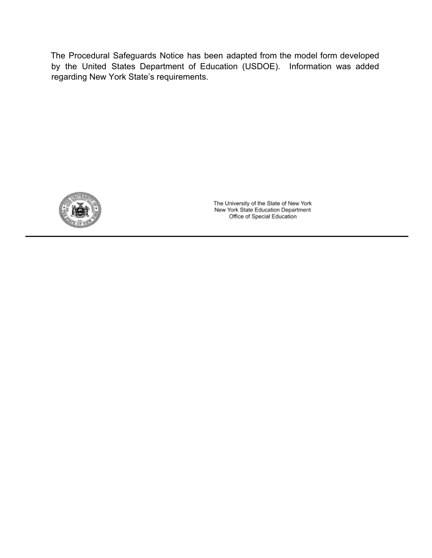The Procedural Safeguards Notice has been adapted from the model form developed by the United States Department of Education (USDOE). Information was added regarding New York State's requirements.



The University of the State of New York<br>New York State Education Department Office of Special Education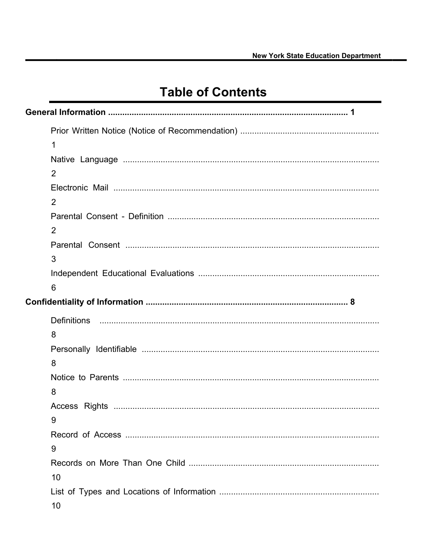# **Table of Contents**

|  | 1              |  |
|--|----------------|--|
|  |                |  |
|  | $\overline{2}$ |  |
|  |                |  |
|  | $\overline{2}$ |  |
|  |                |  |
|  | 2              |  |
|  |                |  |
|  | 3              |  |
|  |                |  |
|  | 6              |  |
|  |                |  |
|  |                |  |
|  | 8              |  |
|  |                |  |
|  | 8              |  |
|  |                |  |
|  | 8              |  |
|  |                |  |
|  | 9              |  |
|  |                |  |
|  | 9              |  |
|  |                |  |
|  | 10             |  |
|  |                |  |
|  | 10             |  |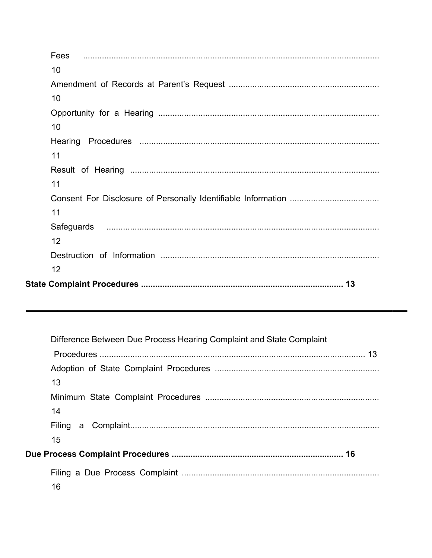| 10 |  |  |  |
|----|--|--|--|
|    |  |  |  |
| 10 |  |  |  |
|    |  |  |  |
| 10 |  |  |  |
|    |  |  |  |
| 11 |  |  |  |
|    |  |  |  |
| 11 |  |  |  |
|    |  |  |  |
| 11 |  |  |  |
|    |  |  |  |
| 12 |  |  |  |
|    |  |  |  |
| 12 |  |  |  |
|    |  |  |  |

| Difference Between Due Process Hearing Complaint and State Complaint |
|----------------------------------------------------------------------|
|                                                                      |
|                                                                      |
| 13                                                                   |
|                                                                      |
| 14                                                                   |
|                                                                      |
| 15                                                                   |
|                                                                      |
|                                                                      |
| 16                                                                   |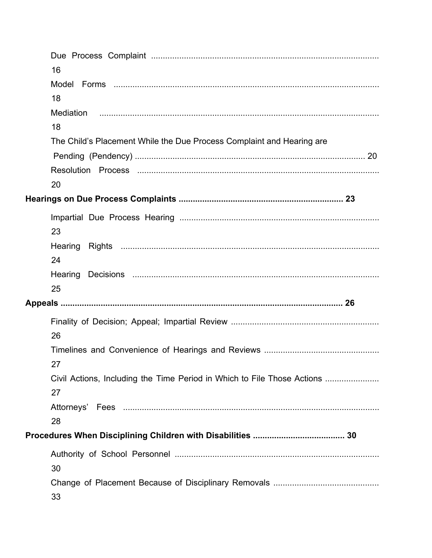| 16                                                                            |  |
|-------------------------------------------------------------------------------|--|
|                                                                               |  |
| 18                                                                            |  |
|                                                                               |  |
| 18                                                                            |  |
| The Child's Placement While the Due Process Complaint and Hearing are         |  |
|                                                                               |  |
|                                                                               |  |
| 20                                                                            |  |
|                                                                               |  |
|                                                                               |  |
| 23                                                                            |  |
|                                                                               |  |
| 24                                                                            |  |
|                                                                               |  |
| 25                                                                            |  |
|                                                                               |  |
| 26                                                                            |  |
| 27                                                                            |  |
| Civil Actions, Including the Time Period in Which to File Those Actions<br>27 |  |
| 28                                                                            |  |
|                                                                               |  |
|                                                                               |  |
| 30                                                                            |  |
| 33                                                                            |  |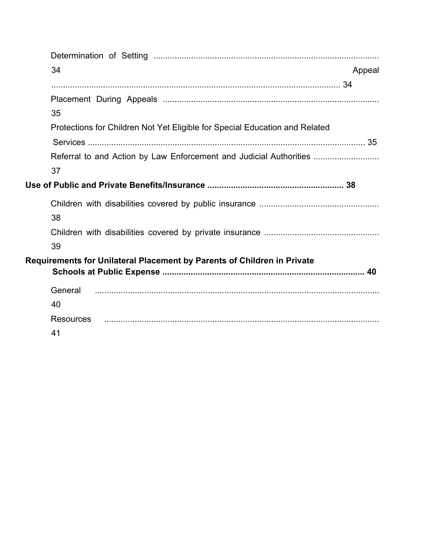| 34                                                                          | Appeal |
|-----------------------------------------------------------------------------|--------|
|                                                                             |        |
|                                                                             |        |
| 35                                                                          |        |
| Protections for Children Not Yet Eligible for Special Education and Related |        |
|                                                                             |        |
| Referral to and Action by Law Enforcement and Judicial Authorities          |        |
| 37                                                                          |        |
| Use of Public and Private Benefits/Insurance ………………………………………………… 38         |        |
|                                                                             |        |
| 38                                                                          |        |
|                                                                             |        |
| 39                                                                          |        |
| Requirements for Unilateral Placement by Parents of Children in Private     |        |
| General                                                                     |        |
| 40                                                                          |        |
| <b>Resources</b>                                                            |        |
| 41                                                                          |        |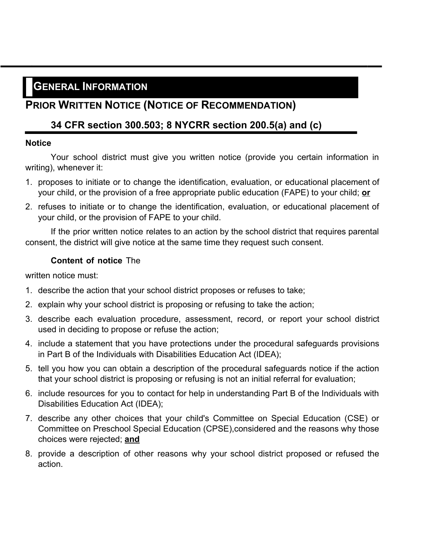# **GENERAL INFORMATION**

# **PRIOR WRITTEN NOTICE (NOTICE OF RECOMMENDATION)**

## **34 CFR section 300.503; 8 NYCRR section 200.5(a) and (c)**

### **Notice**

Your school district must give you written notice (provide you certain information in writing), whenever it:

- 1. proposes to initiate or to change the identification, evaluation, or educational placement of your child, or the provision of a free appropriate public education (FAPE) to your child; **or**
- 2. refuses to initiate or to change the identification, evaluation, or educational placement of your child, or the provision of FAPE to your child.

If the prior written notice relates to an action by the school district that requires parental consent, the district will give notice at the same time they request such consent.

### **Content of notice** The

written notice must:

- 1. describe the action that your school district proposes or refuses to take;
- 2. explain why your school district is proposing or refusing to take the action;
- 3. describe each evaluation procedure, assessment, record, or report your school district used in deciding to propose or refuse the action;
- 4. include a statement that you have protections under the procedural safeguards provisions in Part B of the Individuals with Disabilities Education Act (IDEA);
- 5. tell you how you can obtain a description of the procedural safeguards notice if the action that your school district is proposing or refusing is not an initial referral for evaluation;
- 6. include resources for you to contact for help in understanding Part B of the Individuals with Disabilities Education Act (IDEA);
- 7. describe any other choices that your child's Committee on Special Education (CSE) or Committee on Preschool Special Education (CPSE),considered and the reasons why those choices were rejected; **and**
- 8. provide a description of other reasons why your school district proposed or refused the action.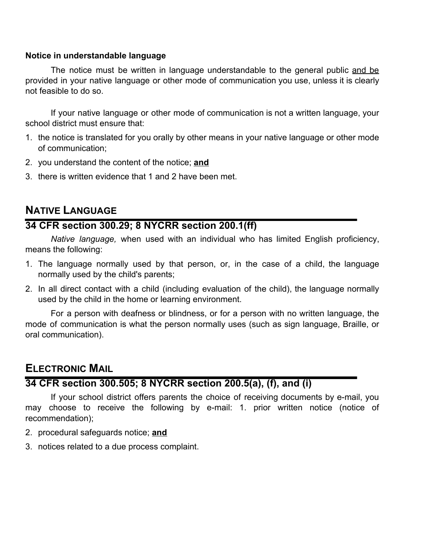### **Notice in understandable language**

The notice must be written in language understandable to the general public and be provided in your native language or other mode of communication you use, unless it is clearly not feasible to do so.

If your native language or other mode of communication is not a written language, your school district must ensure that:

- 1. the notice is translated for you orally by other means in your native language or other mode of communication;
- 2. you understand the content of the notice; **and**
- 3. there is written evidence that 1 and 2 have been met.

# **NATIVE LANGUAGE**

## **34 CFR section 300.29; 8 NYCRR section 200.1(ff)**

*Native language,* when used with an individual who has limited English proficiency, means the following:

- 1. The language normally used by that person, or, in the case of a child, the language normally used by the child's parents;
- 2. In all direct contact with a child (including evaluation of the child), the language normally used by the child in the home or learning environment.

For a person with deafness or blindness, or for a person with no written language, the mode of communication is what the person normally uses (such as sign language, Braille, or oral communication).

# **ELECTRONIC MAIL**

## **34 CFR section 300.505; 8 NYCRR section 200.5(a), (f), and (i)**

If your school district offers parents the choice of receiving documents by e-mail, you may choose to receive the following by e-mail: 1. prior written notice (notice of recommendation);

- 2. procedural safeguards notice; **and**
- 3. notices related to a due process complaint.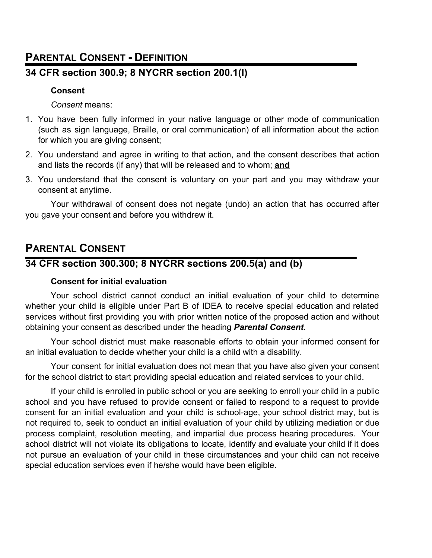# **PARENTAL CONSENT - DEFINITION**

# **34 CFR section 300.9; 8 NYCRR section 200.1(l)**

## **Consent**

*Consent* means:

- 1. You have been fully informed in your native language or other mode of communication (such as sign language, Braille, or oral communication) of all information about the action for which you are giving consent;
- 2. You understand and agree in writing to that action, and the consent describes that action and lists the records (if any) that will be released and to whom; **and**
- 3. You understand that the consent is voluntary on your part and you may withdraw your consent at anytime.

Your withdrawal of consent does not negate (undo) an action that has occurred after you gave your consent and before you withdrew it.

# **PARENTAL CONSENT**

# **34 CFR section 300.300; 8 NYCRR sections 200.5(a) and (b)**

## **Consent for initial evaluation**

Your school district cannot conduct an initial evaluation of your child to determine whether your child is eligible under Part B of IDEA to receive special education and related services without first providing you with prior written notice of the proposed action and without obtaining your consent as described under the heading *Parental Consent.*

Your school district must make reasonable efforts to obtain your informed consent for an initial evaluation to decide whether your child is a child with a disability.

Your consent for initial evaluation does not mean that you have also given your consent for the school district to start providing special education and related services to your child.

If your child is enrolled in public school or you are seeking to enroll your child in a public school and you have refused to provide consent or failed to respond to a request to provide consent for an initial evaluation and your child is school-age, your school district may, but is not required to, seek to conduct an initial evaluation of your child by utilizing mediation or due process complaint, resolution meeting, and impartial due process hearing procedures. Your school district will not violate its obligations to locate, identify and evaluate your child if it does not pursue an evaluation of your child in these circumstances and your child can not receive special education services even if he/she would have been eligible.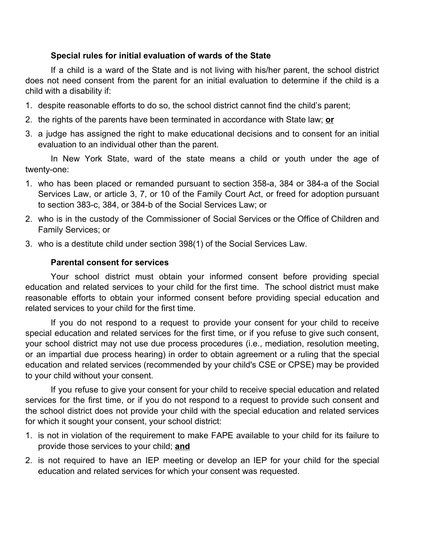### **Special rules for initial evaluation of wards of the State**

If a child is a ward of the State and is not living with his/her parent, the school district does not need consent from the parent for an initial evaluation to determine if the child is a child with a disability if:

- 1. despite reasonable efforts to do so, the school district cannot find the child's parent;
- 2. the rights of the parents have been terminated in accordance with State law; **or**
- 3. a judge has assigned the right to make educational decisions and to consent for an initial evaluation to an individual other than the parent.

In New York State, ward of the state means a child or youth under the age of twenty-one:

- 1. who has been placed or remanded pursuant to section 358-a, 384 or 384-a of the Social Services Law, or article 3, 7, or 10 of the Family Court Act, or freed for adoption pursuant to section 383-c, 384, or 384-b of the Social Services Law; or
- 2. who is in the custody of the Commissioner of Social Services or the Office of Children and Family Services; or
- 3. who is a destitute child under section 398(1) of the Social Services Law.

### **Parental consent for services**

Your school district must obtain your informed consent before providing special education and related services to your child for the first time. The school district must make reasonable efforts to obtain your informed consent before providing special education and related services to your child for the first time.

If you do not respond to a request to provide your consent for your child to receive special education and related services for the first time, or if you refuse to give such consent, your school district may not use due process procedures (i.e., mediation, resolution meeting, or an impartial due process hearing) in order to obtain agreement or a ruling that the special education and related services (recommended by your child's CSE or CPSE) may be provided to your child without your consent.

If you refuse to give your consent for your child to receive special education and related services for the first time, or if you do not respond to a request to provide such consent and the school district does not provide your child with the special education and related services for which it sought your consent, your school district:

- 1. is not in violation of the requirement to make FAPE available to your child for its failure to provide those services to your child; **and**
- 2. is not required to have an IEP meeting or develop an IEP for your child for the special education and related services for which your consent was requested.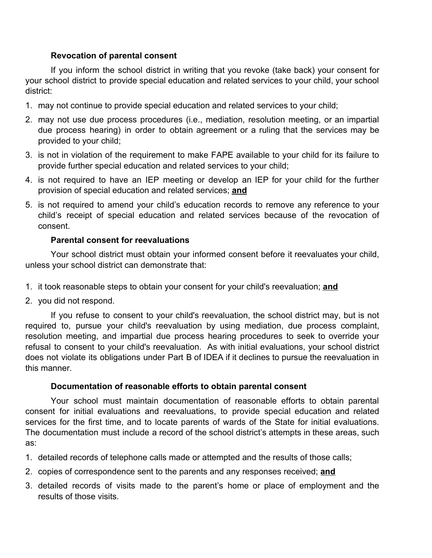### **Revocation of parental consent**

If you inform the school district in writing that you revoke (take back) your consent for your school district to provide special education and related services to your child, your school district:

- 1. may not continue to provide special education and related services to your child;
- 2. may not use due process procedures (i.e., mediation, resolution meeting, or an impartial due process hearing) in order to obtain agreement or a ruling that the services may be provided to your child;
- 3. is not in violation of the requirement to make FAPE available to your child for its failure to provide further special education and related services to your child;
- 4. is not required to have an IEP meeting or develop an IEP for your child for the further provision of special education and related services; **and**
- 5. is not required to amend your child's education records to remove any reference to your child's receipt of special education and related services because of the revocation of consent.

### **Parental consent for reevaluations**

Your school district must obtain your informed consent before it reevaluates your child, unless your school district can demonstrate that:

- 1. it took reasonable steps to obtain your consent for your child's reevaluation; **and**
- 2. you did not respond.

If you refuse to consent to your child's reevaluation, the school district may, but is not required to, pursue your child's reevaluation by using mediation, due process complaint, resolution meeting, and impartial due process hearing procedures to seek to override your refusal to consent to your child's reevaluation. As with initial evaluations, your school district does not violate its obligations under Part B of IDEA if it declines to pursue the reevaluation in this manner.

### **Documentation of reasonable efforts to obtain parental consent**

Your school must maintain documentation of reasonable efforts to obtain parental consent for initial evaluations and reevaluations, to provide special education and related services for the first time, and to locate parents of wards of the State for initial evaluations. The documentation must include a record of the school district's attempts in these areas, such as:

- 1. detailed records of telephone calls made or attempted and the results of those calls;
- 2. copies of correspondence sent to the parents and any responses received; **and**
- 3. detailed records of visits made to the parent's home or place of employment and the results of those visits.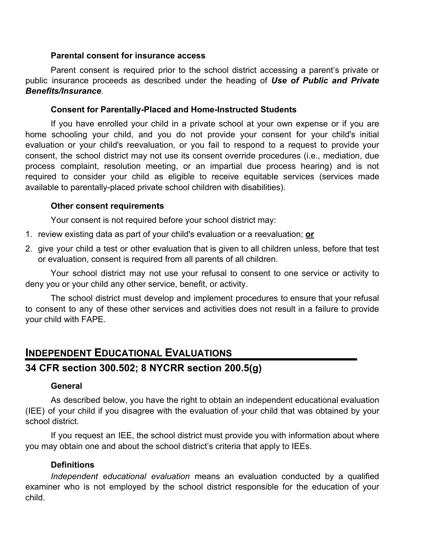#### **Parental consent for insurance access**

Parent consent is required prior to the school district accessing a parent's private or public insurance proceeds as described under the heading of *Use of Public and Private Benefits/Insurance*.

### **Consent for Parentally-Placed and Home-Instructed Students**

If you have enrolled your child in a private school at your own expense or if you are home schooling your child, and you do not provide your consent for your child's initial evaluation or your child's reevaluation, or you fail to respond to a request to provide your consent, the school district may not use its consent override procedures (i.e., mediation, due process complaint, resolution meeting, or an impartial due process hearing) and is not required to consider your child as eligible to receive equitable services (services made available to parentally-placed private school children with disabilities).

### **Other consent requirements**

Your consent is not required before your school district may:

- 1. review existing data as part of your child's evaluation or a reevaluation; **or**
- 2. give your child a test or other evaluation that is given to all children unless, before that test or evaluation, consent is required from all parents of all children.

Your school district may not use your refusal to consent to one service or activity to deny you or your child any other service, benefit, or activity.

The school district must develop and implement procedures to ensure that your refusal to consent to any of these other services and activities does not result in a failure to provide your child with FAPE.

# **INDEPENDENT EDUCATIONAL EVALUATIONS 34 CFR section 300.502; 8 NYCRR section 200.5(g)**

### **General**

As described below, you have the right to obtain an independent educational evaluation (IEE) of your child if you disagree with the evaluation of your child that was obtained by your school district.

If you request an IEE, the school district must provide you with information about where you may obtain one and about the school district's criteria that apply to IEEs.

### **Definitions**

*Independent educational evaluation* means an evaluation conducted by a qualified examiner who is not employed by the school district responsible for the education of your child.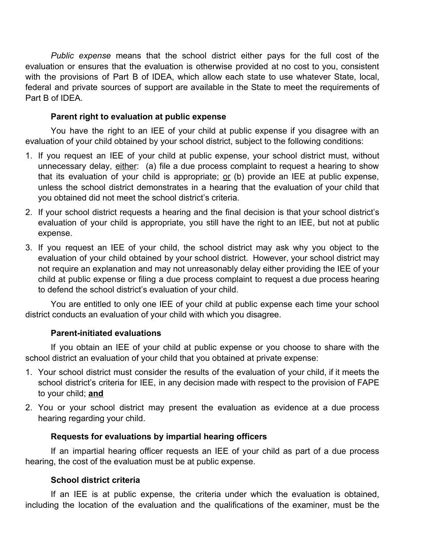*Public expense* means that the school district either pays for the full cost of the evaluation or ensures that the evaluation is otherwise provided at no cost to you, consistent with the provisions of Part B of IDEA, which allow each state to use whatever State, local, federal and private sources of support are available in the State to meet the requirements of Part B of IDEA.

### **Parent right to evaluation at public expense**

You have the right to an IEE of your child at public expense if you disagree with an evaluation of your child obtained by your school district, subject to the following conditions:

- 1. If you request an IEE of your child at public expense, your school district must, without unnecessary delay, either: (a) file a due process complaint to request a hearing to show that its evaluation of your child is appropriate;  $or$  (b) provide an IEE at public expense, unless the school district demonstrates in a hearing that the evaluation of your child that you obtained did not meet the school district's criteria.
- 2. If your school district requests a hearing and the final decision is that your school district's evaluation of your child is appropriate, you still have the right to an IEE, but not at public expense.
- 3. If you request an IEE of your child, the school district may ask why you object to the evaluation of your child obtained by your school district. However, your school district may not require an explanation and may not unreasonably delay either providing the IEE of your child at public expense or filing a due process complaint to request a due process hearing to defend the school district's evaluation of your child.

You are entitled to only one IEE of your child at public expense each time your school district conducts an evaluation of your child with which you disagree.

### **Parent-initiated evaluations**

If you obtain an IEE of your child at public expense or you choose to share with the school district an evaluation of your child that you obtained at private expense:

- 1. Your school district must consider the results of the evaluation of your child, if it meets the school district's criteria for IEE, in any decision made with respect to the provision of FAPE to your child; **and**
- 2. You or your school district may present the evaluation as evidence at a due process hearing regarding your child.

### **Requests for evaluations by impartial hearing officers**

If an impartial hearing officer requests an IEE of your child as part of a due process hearing, the cost of the evaluation must be at public expense.

### **School district criteria**

If an IEE is at public expense, the criteria under which the evaluation is obtained, including the location of the evaluation and the qualifications of the examiner, must be the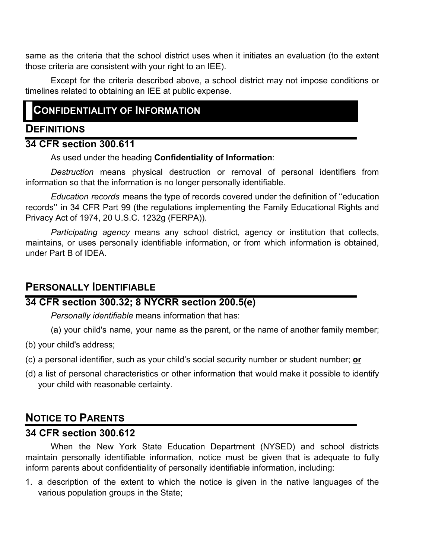same as the criteria that the school district uses when it initiates an evaluation (to the extent those criteria are consistent with your right to an IEE).

Except for the criteria described above, a school district may not impose conditions or timelines related to obtaining an IEE at public expense.

# **CONFIDENTIALITY OF INFORMATION**

## **DEFINITIONS**

## **34 CFR section 300.611**

As used under the heading **Confidentiality of Information**:

*Destruction* means physical destruction or removal of personal identifiers from information so that the information is no longer personally identifiable.

*Education records* means the type of records covered under the definition of ''education records'' in 34 CFR Part 99 (the regulations implementing the Family Educational Rights and Privacy Act of 1974, 20 U.S.C. 1232g (FERPA)).

*Participating agency* means any school district, agency or institution that collects, maintains, or uses personally identifiable information, or from which information is obtained, under Part B of IDEA.

## **PERSONALLY IDENTIFIABLE**

## **34 CFR section 300.32; 8 NYCRR section 200.5(e)**

*Personally identifiable* means information that has:

(a) your child's name, your name as the parent, or the name of another family member;

- (b) your child's address;
- (c) a personal identifier, such as your child's social security number or student number; **or**
- (d) a list of personal characteristics or other information that would make it possible to identify your child with reasonable certainty.

# **NOTICE TO PARENTS**

## **34 CFR section 300.612**

When the New York State Education Department (NYSED) and school districts maintain personally identifiable information, notice must be given that is adequate to fully inform parents about confidentiality of personally identifiable information, including:

1. a description of the extent to which the notice is given in the native languages of the various population groups in the State;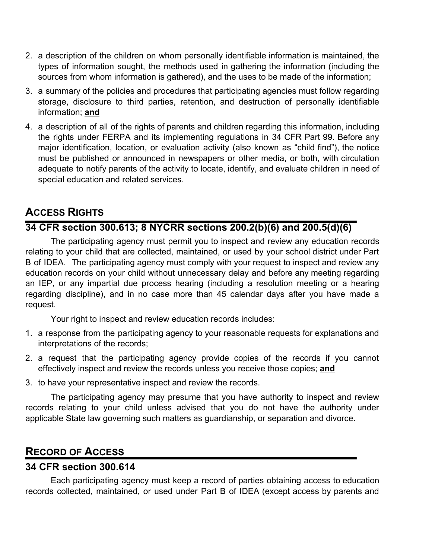- 2. a description of the children on whom personally identifiable information is maintained, the types of information sought, the methods used in gathering the information (including the sources from whom information is gathered), and the uses to be made of the information;
- 3. a summary of the policies and procedures that participating agencies must follow regarding storage, disclosure to third parties, retention, and destruction of personally identifiable information; **and**
- 4. a description of all of the rights of parents and children regarding this information, including the rights under FERPA and its implementing regulations in 34 CFR Part 99. Before any major identification, location, or evaluation activity (also known as "child find"), the notice must be published or announced in newspapers or other media, or both, with circulation adequate to notify parents of the activity to locate, identify, and evaluate children in need of special education and related services.

# **ACCESS RIGHTS**

# **34 CFR section 300.613; 8 NYCRR sections 200.2(b)(6) and 200.5(d)(6)**

The participating agency must permit you to inspect and review any education records relating to your child that are collected, maintained, or used by your school district under Part B of IDEA. The participating agency must comply with your request to inspect and review any education records on your child without unnecessary delay and before any meeting regarding an IEP, or any impartial due process hearing (including a resolution meeting or a hearing regarding discipline), and in no case more than 45 calendar days after you have made a request.

Your right to inspect and review education records includes:

- 1. a response from the participating agency to your reasonable requests for explanations and interpretations of the records;
- 2. a request that the participating agency provide copies of the records if you cannot effectively inspect and review the records unless you receive those copies; **and**
- 3. to have your representative inspect and review the records.

The participating agency may presume that you have authority to inspect and review records relating to your child unless advised that you do not have the authority under applicable State law governing such matters as guardianship, or separation and divorce.

# **RECORD OF ACCESS**

## **34 CFR section 300.614**

Each participating agency must keep a record of parties obtaining access to education records collected, maintained, or used under Part B of IDEA (except access by parents and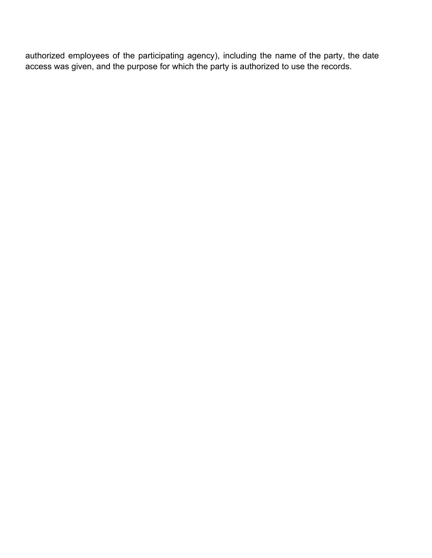authorized employees of the participating agency), including the name of the party, the date access was given, and the purpose for which the party is authorized to use the records.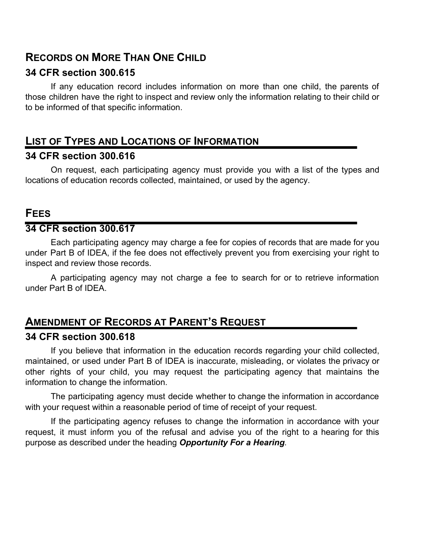# **RECORDS ON MORE THAN ONE CHILD**

## **34 CFR section 300.615**

If any education record includes information on more than one child, the parents of those children have the right to inspect and review only the information relating to their child or to be informed of that specific information.

# **LIST OF TYPES AND LOCATIONS OF INFORMATION**

## **34 CFR section 300.616**

On request, each participating agency must provide you with a list of the types and locations of education records collected, maintained, or used by the agency.

## **FEES**

## **34 CFR section 300.617**

Each participating agency may charge a fee for copies of records that are made for you under Part B of IDEA, if the fee does not effectively prevent you from exercising your right to inspect and review those records.

A participating agency may not charge a fee to search for or to retrieve information under Part B of IDEA.

# **AMENDMENT OF RECORDS AT PARENT'S REQUEST**

## **34 CFR section 300.618**

If you believe that information in the education records regarding your child collected, maintained, or used under Part B of IDEA is inaccurate, misleading, or violates the privacy or other rights of your child, you may request the participating agency that maintains the information to change the information.

The participating agency must decide whether to change the information in accordance with your request within a reasonable period of time of receipt of your request.

If the participating agency refuses to change the information in accordance with your request, it must inform you of the refusal and advise you of the right to a hearing for this purpose as described under the heading *Opportunity For a Hearing.*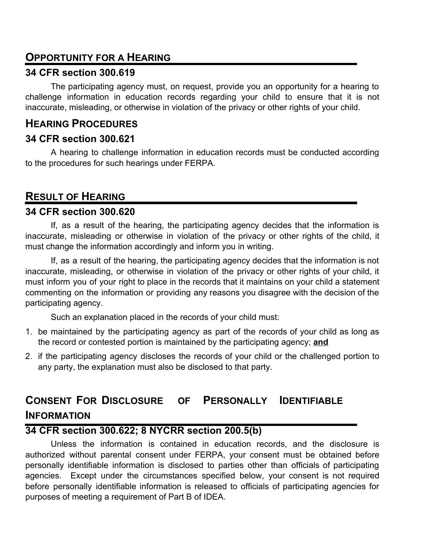## **OPPORTUNITY FOR A HEARING**

## **34 CFR section 300.619**

The participating agency must, on request, provide you an opportunity for a hearing to challenge information in education records regarding your child to ensure that it is not inaccurate, misleading, or otherwise in violation of the privacy or other rights of your child.

## **HEARING PROCEDURES**

## **34 CFR section 300.621**

A hearing to challenge information in education records must be conducted according to the procedures for such hearings under FERPA.

# **RESULT OF HEARING**

## **34 CFR section 300.620**

If, as a result of the hearing, the participating agency decides that the information is inaccurate, misleading or otherwise in violation of the privacy or other rights of the child, it must change the information accordingly and inform you in writing.

If, as a result of the hearing, the participating agency decides that the information is not inaccurate, misleading, or otherwise in violation of the privacy or other rights of your child, it must inform you of your right to place in the records that it maintains on your child a statement commenting on the information or providing any reasons you disagree with the decision of the participating agency.

Such an explanation placed in the records of your child must:

- 1. be maintained by the participating agency as part of the records of your child as long as the record or contested portion is maintained by the participating agency; **and**
- 2. if the participating agency discloses the records of your child or the challenged portion to any party, the explanation must also be disclosed to that party.

# **CONSENT FOR DISCLOSURE OF PERSONALLY IDENTIFIABLE INFORMATION**

## **34 CFR section 300.622; 8 NYCRR section 200.5(b)**

Unless the information is contained in education records, and the disclosure is authorized without parental consent under FERPA, your consent must be obtained before personally identifiable information is disclosed to parties other than officials of participating agencies. Except under the circumstances specified below, your consent is not required before personally identifiable information is released to officials of participating agencies for purposes of meeting a requirement of Part B of IDEA.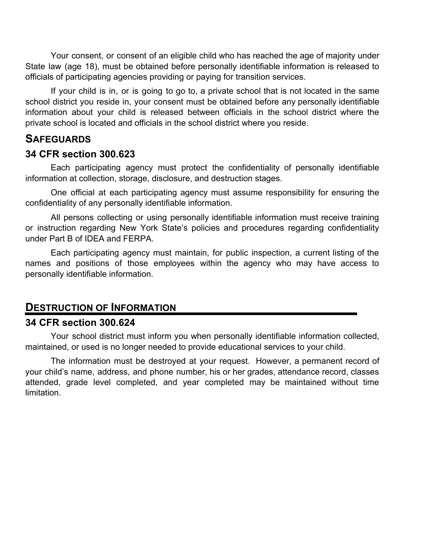Your consent, or consent of an eligible child who has reached the age of majority under State law (age 18), must be obtained before personally identifiable information is released to officials of participating agencies providing or paying for transition services.

If your child is in, or is going to go to, a private school that is not located in the same school district you reside in, your consent must be obtained before any personally identifiable information about your child is released between officials in the school district where the private school is located and officials in the school district where you reside.

## **SAFEGUARDS**

### **34 CFR section 300.623**

Each participating agency must protect the confidentiality of personally identifiable information at collection, storage, disclosure, and destruction stages.

One official at each participating agency must assume responsibility for ensuring the confidentiality of any personally identifiable information.

All persons collecting or using personally identifiable information must receive training or instruction regarding New York State's policies and procedures regarding confidentiality under Part B of IDEA and FERPA.

Each participating agency must maintain, for public inspection, a current listing of the names and positions of those employees within the agency who may have access to personally identifiable information.

## **DESTRUCTION OF INFORMATION**

## **34 CFR section 300.624**

Your school district must inform you when personally identifiable information collected, maintained, or used is no longer needed to provide educational services to your child.

The information must be destroyed at your request. However, a permanent record of your child's name, address, and phone number, his or her grades, attendance record, classes attended, grade level completed, and year completed may be maintained without time limitation.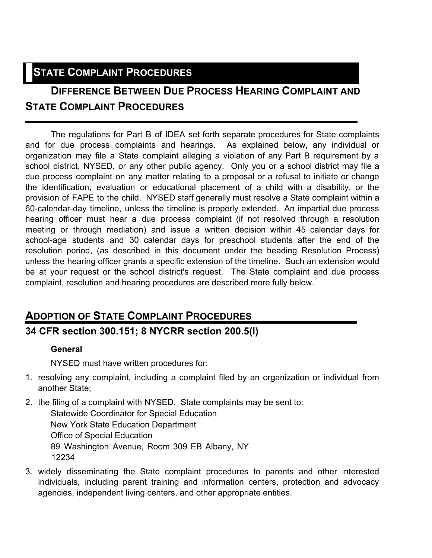# **STATE COMPLAINT PROCEDURES**

# **DIFFERENCE BETWEEN DUE PROCESS HEARING COMPLAINT AND STATE COMPLAINT PROCEDURES**

The regulations for Part B of IDEA set forth separate procedures for State complaints and for due process complaints and hearings. As explained below, any individual or organization may file a State complaint alleging a violation of any Part B requirement by a school district, NYSED, or any other public agency. Only you or a school district may file a due process complaint on any matter relating to a proposal or a refusal to initiate or change the identification, evaluation or educational placement of a child with a disability, or the provision of FAPE to the child. NYSED staff generally must resolve a State complaint within a 60-calendar-day timeline, unless the timeline is properly extended. An impartial due process hearing officer must hear a due process complaint (if not resolved through a resolution meeting or through mediation) and issue a written decision within 45 calendar days for school-age students and 30 calendar days for preschool students after the end of the resolution period, (as described in this document under the heading Resolution Process) unless the hearing officer grants a specific extension of the timeline. Such an extension would be at your request or the school district's request. The State complaint and due process complaint, resolution and hearing procedures are described more fully below.

# **ADOPTION OF STATE COMPLAINT PROCEDURES**

## **34 CFR section 300.151; 8 NYCRR section 200.5(l)**

## **General**

NYSED must have written procedures for:

- 1. resolving any complaint, including a complaint filed by an organization or individual from another State;
- 2. the filing of a complaint with NYSED. State complaints may be sent to: Statewide Coordinator for Special Education New York State Education Department Office of Special Education 89 Washington Avenue, Room 309 EB Albany, NY 12234
- 3. widely disseminating the State complaint procedures to parents and other interested individuals, including parent training and information centers, protection and advocacy agencies, independent living centers, and other appropriate entities.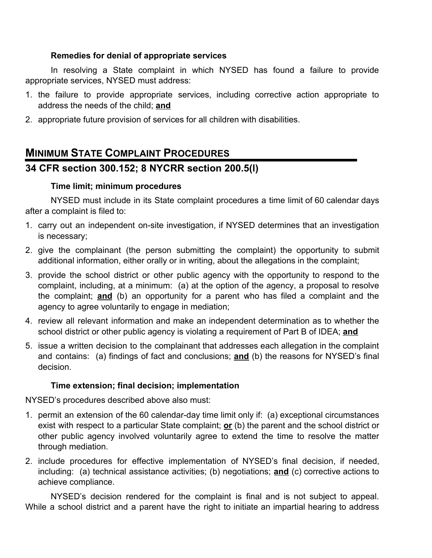### **Remedies for denial of appropriate services**

In resolving a State complaint in which NYSED has found a failure to provide appropriate services, NYSED must address:

- 1. the failure to provide appropriate services, including corrective action appropriate to address the needs of the child; **and**
- 2. appropriate future provision of services for all children with disabilities.

# **MINIMUM STATE COMPLAINT PROCEDURES**

## **34 CFR section 300.152; 8 NYCRR section 200.5(l)**

### **Time limit; minimum procedures**

NYSED must include in its State complaint procedures a time limit of 60 calendar days after a complaint is filed to:

- 1. carry out an independent on-site investigation, if NYSED determines that an investigation is necessary;
- 2. give the complainant (the person submitting the complaint) the opportunity to submit additional information, either orally or in writing, about the allegations in the complaint;
- 3. provide the school district or other public agency with the opportunity to respond to the complaint, including, at a minimum: (a) at the option of the agency, a proposal to resolve the complaint; **and** (b) an opportunity for a parent who has filed a complaint and the agency to agree voluntarily to engage in mediation;
- 4. review all relevant information and make an independent determination as to whether the school district or other public agency is violating a requirement of Part B of IDEA; **and**
- 5. issue a written decision to the complainant that addresses each allegation in the complaint and contains: (a) findings of fact and conclusions; **and** (b) the reasons for NYSED's final decision.

## **Time extension; final decision; implementation**

NYSED's procedures described above also must:

- 1. permit an extension of the 60 calendar-day time limit only if: (a) exceptional circumstances exist with respect to a particular State complaint; **or** (b) the parent and the school district or other public agency involved voluntarily agree to extend the time to resolve the matter through mediation.
- 2. include procedures for effective implementation of NYSED's final decision, if needed, including: (a) technical assistance activities; (b) negotiations; **and** (c) corrective actions to achieve compliance.

NYSED's decision rendered for the complaint is final and is not subject to appeal. While a school district and a parent have the right to initiate an impartial hearing to address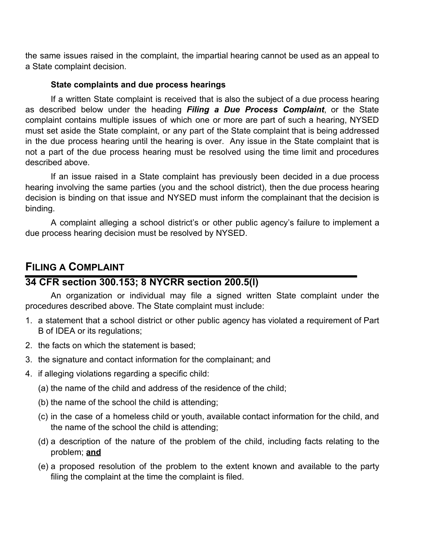the same issues raised in the complaint, the impartial hearing cannot be used as an appeal to a State complaint decision.

### **State complaints and due process hearings**

If a written State complaint is received that is also the subject of a due process hearing as described below under the heading *Filing a Due Process Complaint*, or the State complaint contains multiple issues of which one or more are part of such a hearing, NYSED must set aside the State complaint, or any part of the State complaint that is being addressed in the due process hearing until the hearing is over. Any issue in the State complaint that is not a part of the due process hearing must be resolved using the time limit and procedures described above.

If an issue raised in a State complaint has previously been decided in a due process hearing involving the same parties (you and the school district), then the due process hearing decision is binding on that issue and NYSED must inform the complainant that the decision is binding.

A complaint alleging a school district's or other public agency's failure to implement a due process hearing decision must be resolved by NYSED.

# **FILING A COMPLAINT**

## **34 CFR section 300.153; 8 NYCRR section 200.5(l)**

An organization or individual may file a signed written State complaint under the procedures described above. The State complaint must include:

- 1. a statement that a school district or other public agency has violated a requirement of Part B of IDEA or its regulations;
- 2. the facts on which the statement is based;
- 3. the signature and contact information for the complainant; and
- 4. if alleging violations regarding a specific child:
	- (a) the name of the child and address of the residence of the child;
	- (b) the name of the school the child is attending;
	- (c) in the case of a homeless child or youth, available contact information for the child, and the name of the school the child is attending;
	- (d) a description of the nature of the problem of the child, including facts relating to the problem; **and**
	- (e) a proposed resolution of the problem to the extent known and available to the party filing the complaint at the time the complaint is filed.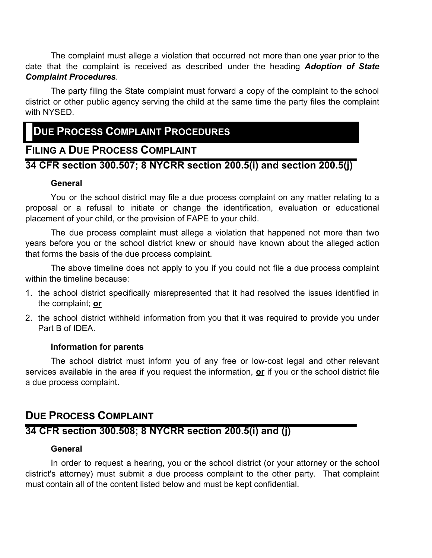The complaint must allege a violation that occurred not more than one year prior to the date that the complaint is received as described under the heading *Adoption of State Complaint Procedures*.

The party filing the State complaint must forward a copy of the complaint to the school district or other public agency serving the child at the same time the party files the complaint with NYSED.

# **DUE PROCESS COMPLAINT PROCEDURES**

## **FILING A DUE PROCESS COMPLAINT**

## **34 CFR section 300.507; 8 NYCRR section 200.5(i) and section 200.5(j)**

### **General**

You or the school district may file a due process complaint on any matter relating to a proposal or a refusal to initiate or change the identification, evaluation or educational placement of your child, or the provision of FAPE to your child.

The due process complaint must allege a violation that happened not more than two years before you or the school district knew or should have known about the alleged action that forms the basis of the due process complaint.

The above timeline does not apply to you if you could not file a due process complaint within the timeline because:

- 1. the school district specifically misrepresented that it had resolved the issues identified in the complaint; **or**
- 2. the school district withheld information from you that it was required to provide you under Part B of IDEA.

### **Information for parents**

The school district must inform you of any free or low-cost legal and other relevant services available in the area if you request the information, **or** if you or the school district file a due process complaint.

# **DUE PROCESS COMPLAINT**

## **34 CFR section 300.508; 8 NYCRR section 200.5(i) and (j)**

### **General**

In order to request a hearing, you or the school district (or your attorney or the school district's attorney) must submit a due process complaint to the other party. That complaint must contain all of the content listed below and must be kept confidential.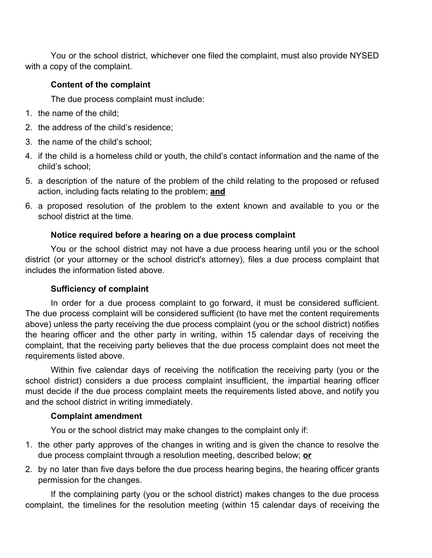You or the school district, whichever one filed the complaint, must also provide NYSED with a copy of the complaint.

### **Content of the complaint**

The due process complaint must include:

- 1. the name of the child;
- 2. the address of the child's residence;
- 3. the name of the child's school;
- 4. if the child is a homeless child or youth, the child's contact information and the name of the child's school;
- 5. a description of the nature of the problem of the child relating to the proposed or refused action, including facts relating to the problem; **and**
- 6. a proposed resolution of the problem to the extent known and available to you or the school district at the time.

### **Notice required before a hearing on a due process complaint**

You or the school district may not have a due process hearing until you or the school district (or your attorney or the school district's attorney), files a due process complaint that includes the information listed above.

## **Sufficiency of complaint**

In order for a due process complaint to go forward, it must be considered sufficient. The due process complaint will be considered sufficient (to have met the content requirements above) unless the party receiving the due process complaint (you or the school district) notifies the hearing officer and the other party in writing, within 15 calendar days of receiving the complaint, that the receiving party believes that the due process complaint does not meet the requirements listed above.

Within five calendar days of receiving the notification the receiving party (you or the school district) considers a due process complaint insufficient, the impartial hearing officer must decide if the due process complaint meets the requirements listed above, and notify you and the school district in writing immediately.

## **Complaint amendment**

You or the school district may make changes to the complaint only if:

- 1. the other party approves of the changes in writing and is given the chance to resolve the due process complaint through a resolution meeting, described below; **or**
- 2. by no later than five days before the due process hearing begins, the hearing officer grants permission for the changes.

If the complaining party (you or the school district) makes changes to the due process complaint, the timelines for the resolution meeting (within 15 calendar days of receiving the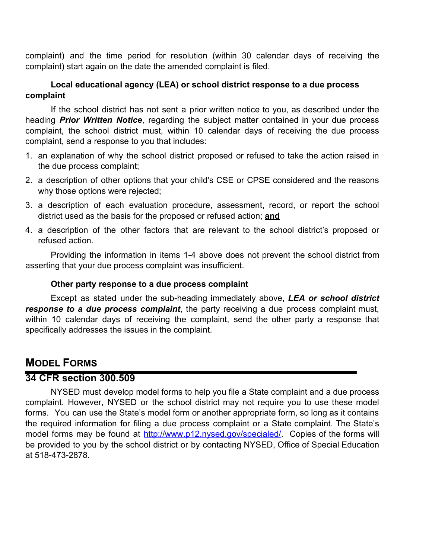complaint) and the time period for resolution (within 30 calendar days of receiving the complaint) start again on the date the amended complaint is filed.

### **Local educational agency (LEA) or school district response to a due process complaint**

If the school district has not sent a prior written notice to you, as described under the heading *Prior Written Notice*, regarding the subject matter contained in your due process complaint, the school district must, within 10 calendar days of receiving the due process complaint, send a response to you that includes:

- 1. an explanation of why the school district proposed or refused to take the action raised in the due process complaint;
- 2. a description of other options that your child's CSE or CPSE considered and the reasons why those options were rejected;
- 3. a description of each evaluation procedure, assessment, record, or report the school district used as the basis for the proposed or refused action; **and**
- 4. a description of the other factors that are relevant to the school district's proposed or refused action.

Providing the information in items 1-4 above does not prevent the school district from asserting that your due process complaint was insufficient.

### **Other party response to a due process complaint**

Except as stated under the sub-heading immediately above, *LEA or school district response to a due process complaint*, the party receiving a due process complaint must, within 10 calendar days of receiving the complaint, send the other party a response that specifically addresses the issues in the complaint.

## **MODEL FORMS**

### **34 CFR section 300.509**

NYSED must develop model forms to help you file a State complaint and a due process complaint. However, NYSED or the school district may not require you to use these model forms. You can use the State's model form or another appropriate form, so long as it contains the required information for filing a due process complaint or a State complaint. The State's model forms may be found at http://www.p12.nysed.gov/specialed/. Copies of the forms will be provided to you by the school district or by contacting NYSED, Office of Special Education at 518-473-2878.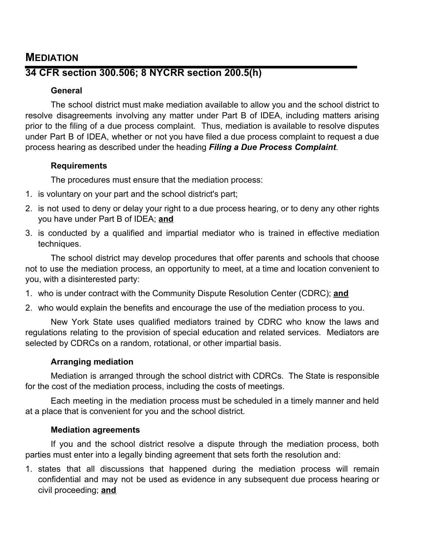## **MEDIATION**

## **34 CFR section 300.506; 8 NYCRR section 200.5(h)**

### **General**

The school district must make mediation available to allow you and the school district to resolve disagreements involving any matter under Part B of IDEA, including matters arising prior to the filing of a due process complaint. Thus, mediation is available to resolve disputes under Part B of IDEA, whether or not you have filed a due process complaint to request a due process hearing as described under the heading *Filing a Due Process Complaint*.

### **Requirements**

The procedures must ensure that the mediation process:

- 1. is voluntary on your part and the school district's part;
- 2. is not used to deny or delay your right to a due process hearing, or to deny any other rights you have under Part B of IDEA; **and**
- 3. is conducted by a qualified and impartial mediator who is trained in effective mediation techniques.

The school district may develop procedures that offer parents and schools that choose not to use the mediation process, an opportunity to meet, at a time and location convenient to you, with a disinterested party:

1. who is under contract with the Community Dispute Resolution Center (CDRC); **and**

2. who would explain the benefits and encourage the use of the mediation process to you.

New York State uses qualified mediators trained by CDRC who know the laws and regulations relating to the provision of special education and related services. Mediators are selected by CDRCs on a random, rotational, or other impartial basis.

### **Arranging mediation**

Mediation is arranged through the school district with CDRCs. The State is responsible for the cost of the mediation process, including the costs of meetings.

Each meeting in the mediation process must be scheduled in a timely manner and held at a place that is convenient for you and the school district.

### **Mediation agreements**

If you and the school district resolve a dispute through the mediation process, both parties must enter into a legally binding agreement that sets forth the resolution and:

1. states that all discussions that happened during the mediation process will remain confidential and may not be used as evidence in any subsequent due process hearing or civil proceeding; **and**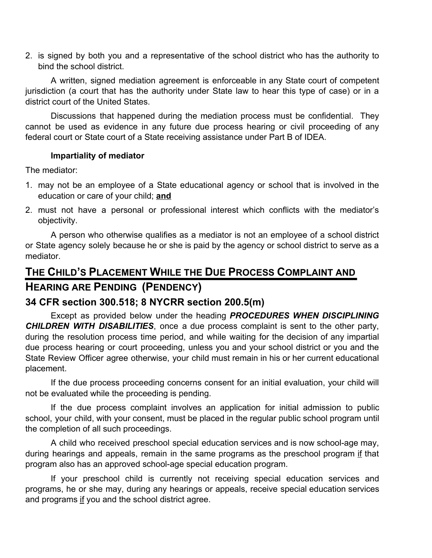2. is signed by both you and a representative of the school district who has the authority to bind the school district.

A written, signed mediation agreement is enforceable in any State court of competent jurisdiction (a court that has the authority under State law to hear this type of case) or in a district court of the United States.

Discussions that happened during the mediation process must be confidential. They cannot be used as evidence in any future due process hearing or civil proceeding of any federal court or State court of a State receiving assistance under Part B of IDEA.

### **Impartiality of mediator**

The mediator:

- 1. may not be an employee of a State educational agency or school that is involved in the education or care of your child; **and**
- 2. must not have a personal or professional interest which conflicts with the mediator's objectivity.

A person who otherwise qualifies as a mediator is not an employee of a school district or State agency solely because he or she is paid by the agency or school district to serve as a mediator.

# **THE CHILD'S PLACEMENT WHILE THE DUE PROCESS COMPLAINT AND HEARING ARE PENDING (PENDENCY)**

## **34 CFR section 300.518; 8 NYCRR section 200.5(m)**

Except as provided below under the heading *PROCEDURES WHEN DISCIPLINING CHILDREN WITH DISABILITIES*, once a due process complaint is sent to the other party, during the resolution process time period, and while waiting for the decision of any impartial due process hearing or court proceeding, unless you and your school district or you and the State Review Officer agree otherwise, your child must remain in his or her current educational placement.

If the due process proceeding concerns consent for an initial evaluation, your child will not be evaluated while the proceeding is pending.

If the due process complaint involves an application for initial admission to public school, your child, with your consent, must be placed in the regular public school program until the completion of all such proceedings.

A child who received preschool special education services and is now school-age may, during hearings and appeals, remain in the same programs as the preschool program if that program also has an approved school-age special education program.

If your preschool child is currently not receiving special education services and programs, he or she may, during any hearings or appeals, receive special education services and programs if you and the school district agree.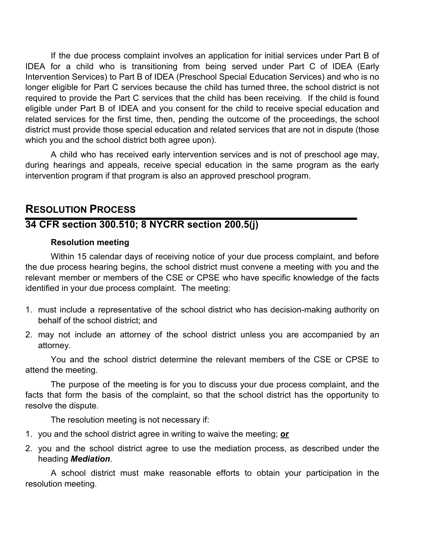If the due process complaint involves an application for initial services under Part B of IDEA for a child who is transitioning from being served under Part C of IDEA (Early Intervention Services) to Part B of IDEA (Preschool Special Education Services) and who is no longer eligible for Part C services because the child has turned three, the school district is not required to provide the Part C services that the child has been receiving. If the child is found eligible under Part B of IDEA and you consent for the child to receive special education and related services for the first time, then, pending the outcome of the proceedings, the school district must provide those special education and related services that are not in dispute (those which you and the school district both agree upon).

A child who has received early intervention services and is not of preschool age may, during hearings and appeals, receive special education in the same program as the early intervention program if that program is also an approved preschool program.

## **RESOLUTION PROCESS**

## **34 CFR section 300.510; 8 NYCRR section 200.5(j)**

### **Resolution meeting**

Within 15 calendar days of receiving notice of your due process complaint, and before the due process hearing begins, the school district must convene a meeting with you and the relevant member or members of the CSE or CPSE who have specific knowledge of the facts identified in your due process complaint. The meeting:

- 1. must include a representative of the school district who has decision-making authority on behalf of the school district; and
- 2. may not include an attorney of the school district unless you are accompanied by an attorney.

You and the school district determine the relevant members of the CSE or CPSE to attend the meeting.

The purpose of the meeting is for you to discuss your due process complaint, and the facts that form the basis of the complaint, so that the school district has the opportunity to resolve the dispute.

The resolution meeting is not necessary if:

- 1. you and the school district agree in writing to waive the meeting; **or**
- 2. you and the school district agree to use the mediation process, as described under the heading *Mediation*.

A school district must make reasonable efforts to obtain your participation in the resolution meeting.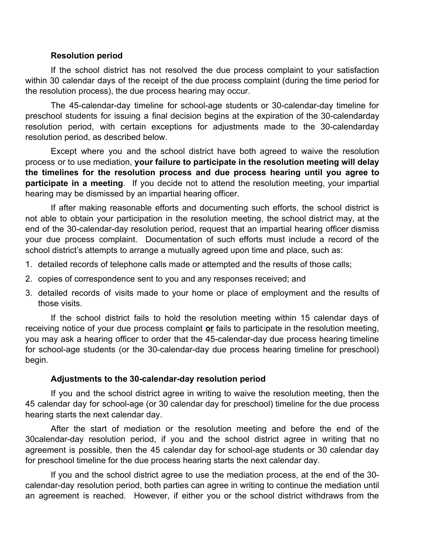#### **Resolution period**

If the school district has not resolved the due process complaint to your satisfaction within 30 calendar days of the receipt of the due process complaint (during the time period for the resolution process), the due process hearing may occur.

The 45-calendar-day timeline for school-age students or 30-calendar-day timeline for preschool students for issuing a final decision begins at the expiration of the 30-calendarday resolution period, with certain exceptions for adjustments made to the 30-calendarday resolution period, as described below.

Except where you and the school district have both agreed to waive the resolution process or to use mediation, **your failure to participate in the resolution meeting will delay the timelines for the resolution process and due process hearing until you agree to participate in a meeting**. If you decide not to attend the resolution meeting, your impartial hearing may be dismissed by an impartial hearing officer.

If after making reasonable efforts and documenting such efforts, the school district is not able to obtain your participation in the resolution meeting, the school district may, at the end of the 30-calendar-day resolution period, request that an impartial hearing officer dismiss your due process complaint. Documentation of such efforts must include a record of the school district's attempts to arrange a mutually agreed upon time and place, such as:

- 1. detailed records of telephone calls made or attempted and the results of those calls;
- 2. copies of correspondence sent to you and any responses received; and
- 3. detailed records of visits made to your home or place of employment and the results of those visits.

If the school district fails to hold the resolution meeting within 15 calendar days of receiving notice of your due process complaint **or** fails to participate in the resolution meeting, you may ask a hearing officer to order that the 45-calendar-day due process hearing timeline for school-age students (or the 30-calendar-day due process hearing timeline for preschool) begin.

### **Adjustments to the 30-calendar-day resolution period**

If you and the school district agree in writing to waive the resolution meeting, then the 45 calendar day for school-age (or 30 calendar day for preschool) timeline for the due process hearing starts the next calendar day.

After the start of mediation or the resolution meeting and before the end of the 30calendar-day resolution period, if you and the school district agree in writing that no agreement is possible, then the 45 calendar day for school-age students or 30 calendar day for preschool timeline for the due process hearing starts the next calendar day.

If you and the school district agree to use the mediation process, at the end of the 30 calendar-day resolution period, both parties can agree in writing to continue the mediation until an agreement is reached. However, if either you or the school district withdraws from the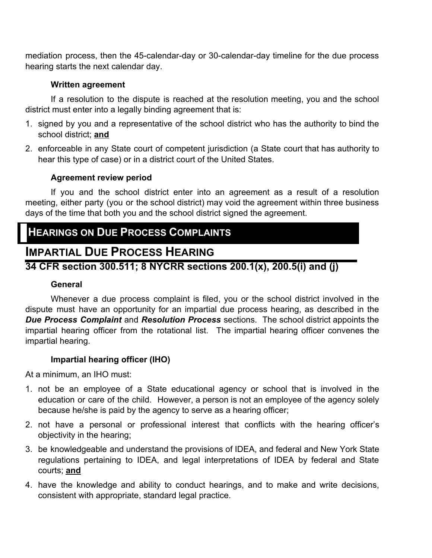mediation process, then the 45-calendar-day or 30-calendar-day timeline for the due process hearing starts the next calendar day.

### **Written agreement**

If a resolution to the dispute is reached at the resolution meeting, you and the school district must enter into a legally binding agreement that is:

- 1. signed by you and a representative of the school district who has the authority to bind the school district; **and**
- 2. enforceable in any State court of competent jurisdiction (a State court that has authority to hear this type of case) or in a district court of the United States.

### **Agreement review period**

If you and the school district enter into an agreement as a result of a resolution meeting, either party (you or the school district) may void the agreement within three business days of the time that both you and the school district signed the agreement.

# **HEARINGS ON DUE PROCESS COMPLAINTS**

# **IMPARTIAL DUE PROCESS HEARING**

## **34 CFR section 300.511; 8 NYCRR sections 200.1(x), 200.5(i) and (j)**

### **General**

Whenever a due process complaint is filed, you or the school district involved in the dispute must have an opportunity for an impartial due process hearing, as described in the *Due Process Complaint* and *Resolution Process* sections. The school district appoints the impartial hearing officer from the rotational list. The impartial hearing officer convenes the impartial hearing.

### **Impartial hearing officer (IHO)**

At a minimum, an IHO must:

- 1. not be an employee of a State educational agency or school that is involved in the education or care of the child. However, a person is not an employee of the agency solely because he/she is paid by the agency to serve as a hearing officer;
- 2. not have a personal or professional interest that conflicts with the hearing officer's objectivity in the hearing;
- 3. be knowledgeable and understand the provisions of IDEA, and federal and New York State regulations pertaining to IDEA, and legal interpretations of IDEA by federal and State courts; **and**
- 4. have the knowledge and ability to conduct hearings, and to make and write decisions, consistent with appropriate, standard legal practice.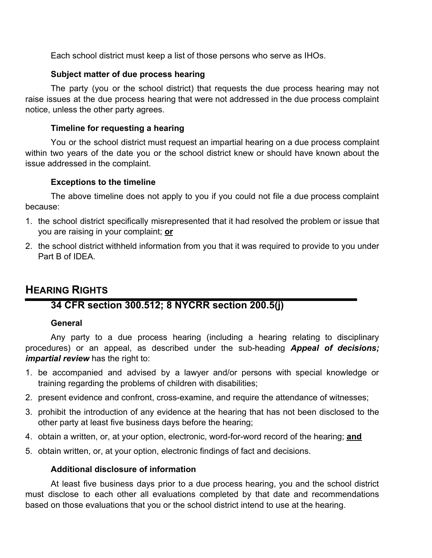Each school district must keep a list of those persons who serve as IHOs.

### **Subject matter of due process hearing**

The party (you or the school district) that requests the due process hearing may not raise issues at the due process hearing that were not addressed in the due process complaint notice, unless the other party agrees.

### **Timeline for requesting a hearing**

You or the school district must request an impartial hearing on a due process complaint within two years of the date you or the school district knew or should have known about the issue addressed in the complaint.

### **Exceptions to the timeline**

The above timeline does not apply to you if you could not file a due process complaint because:

- 1. the school district specifically misrepresented that it had resolved the problem or issue that you are raising in your complaint; **or**
- 2. the school district withheld information from you that it was required to provide to you under Part B of IDEA.

## **HEARING RIGHTS**

## **34 CFR section 300.512; 8 NYCRR section 200.5(j)**

### **General**

Any party to a due process hearing (including a hearing relating to disciplinary procedures) or an appeal, as described under the sub-heading *Appeal of decisions; impartial review* has the right to:

- 1. be accompanied and advised by a lawyer and/or persons with special knowledge or training regarding the problems of children with disabilities;
- 2. present evidence and confront, cross-examine, and require the attendance of witnesses;
- 3. prohibit the introduction of any evidence at the hearing that has not been disclosed to the other party at least five business days before the hearing;
- 4. obtain a written, or, at your option, electronic, word-for-word record of the hearing; **and**
- 5. obtain written, or, at your option, electronic findings of fact and decisions.

### **Additional disclosure of information**

At least five business days prior to a due process hearing, you and the school district must disclose to each other all evaluations completed by that date and recommendations based on those evaluations that you or the school district intend to use at the hearing.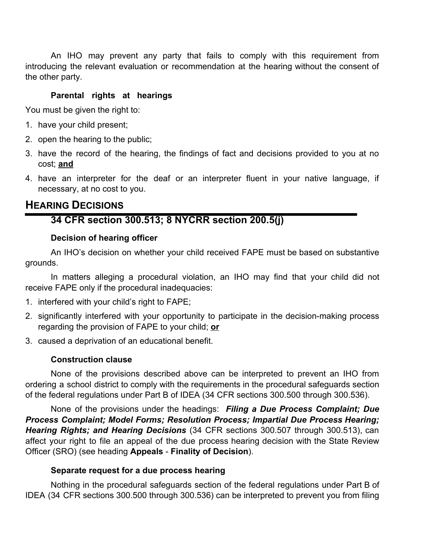An IHO may prevent any party that fails to comply with this requirement from introducing the relevant evaluation or recommendation at the hearing without the consent of the other party.

### **Parental rights at hearings**

You must be given the right to:

- 1. have your child present;
- 2. open the hearing to the public;
- 3. have the record of the hearing, the findings of fact and decisions provided to you at no cost; **and**
- 4. have an interpreter for the deaf or an interpreter fluent in your native language, if necessary, at no cost to you.

## **HEARING DECISIONS**

## **34 CFR section 300.513; 8 NYCRR section 200.5(j)**

#### **Decision of hearing officer**

An IHO's decision on whether your child received FAPE must be based on substantive grounds.

In matters alleging a procedural violation, an IHO may find that your child did not receive FAPE only if the procedural inadequacies:

- 1. interfered with your child's right to FAPE;
- 2. significantly interfered with your opportunity to participate in the decision-making process regarding the provision of FAPE to your child; **or**
- 3. caused a deprivation of an educational benefit.

### **Construction clause**

None of the provisions described above can be interpreted to prevent an IHO from ordering a school district to comply with the requirements in the procedural safeguards section of the federal regulations under Part B of IDEA (34 CFR sections 300.500 through 300.536).

None of the provisions under the headings: *Filing a Due Process Complaint; Due Process Complaint; Model Forms; Resolution Process; Impartial Due Process Hearing; Hearing Rights; and Hearing Decisions* (34 CFR sections 300.507 through 300.513), can affect your right to file an appeal of the due process hearing decision with the State Review Officer (SRO) (see heading **Appeals** - **Finality of Decision**).

#### **Separate request for a due process hearing**

Nothing in the procedural safeguards section of the federal regulations under Part B of IDEA (34 CFR sections 300.500 through 300.536) can be interpreted to prevent you from filing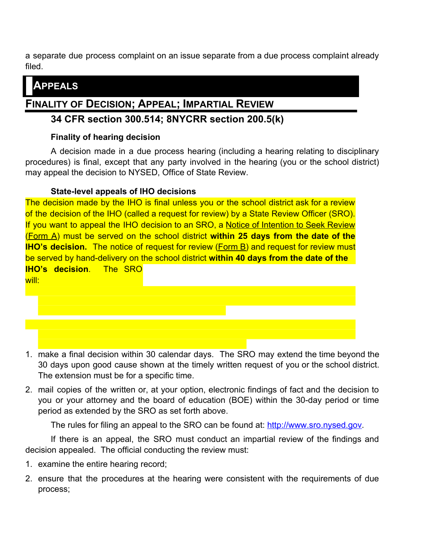a separate due process complaint on an issue separate from a due process complaint already filed.

# **APPEALS**

# **FINALITY OF DECISION; APPEAL; IMPARTIAL REVIEW**

## **34 CFR section 300.514; 8NYCRR section 200.5(k)**

### **Finality of hearing decision**

A decision made in a due process hearing (including a hearing relating to disciplinary procedures) is final, except that any party involved in the hearing (you or the school district) may appeal the decision to NYSED, Office of State Review.

## **State-level appeals of IHO decisions**

The decision made by the IHO is final unless you or the school district ask for a review of the decision of the IHO (called a request for review) by a State Review Officer (SRO). If you want to appeal the IHO decision to an SRO, a Notice of Intention to Seek Review (Form A) must be served on the school district **within 25 days from the date of the IHO's decision.** The notice of request for review (Form B) and request for review must be served by hand-delivery on the school district **within 40 days from the date of the IHO's decision**. The SRO



- 1. make a final decision within 30 calendar days. The SRO may extend the time beyond the 30 days upon good cause shown at the timely written request of you or the school district. The extension must be for a specific time.
- 2. mail copies of the written or, at your option, electronic findings of fact and the decision to you or your attorney and the board of education (BOE) within the 30-day period or time period as extended by the SRO as set forth above.

The rules for filing an appeal to the SRO can be found at: http://www.sro.nysed.gov.

If there is an appeal, the SRO must conduct an impartial review of the findings and decision appealed. The official conducting the review must:

- 1. examine the entire hearing record;
- 2. ensure that the procedures at the hearing were consistent with the requirements of due process;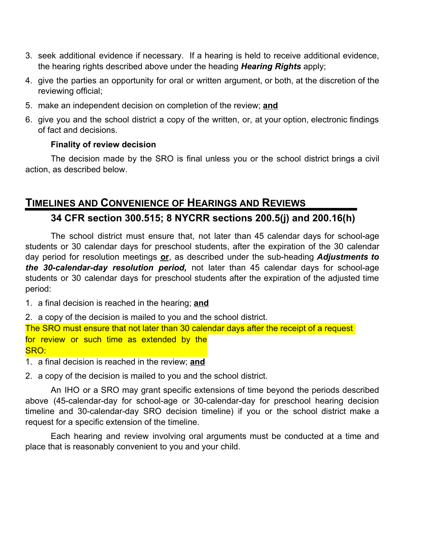- 3. seek additional evidence if necessary. If a hearing is held to receive additional evidence, the hearing rights described above under the heading *Hearing Rights* apply;
- 4. give the parties an opportunity for oral or written argument, or both, at the discretion of the reviewing official;
- 5. make an independent decision on completion of the review; **and**
- 6. give you and the school district a copy of the written, or, at your option, electronic findings of fact and decisions.

### **Finality of review decision**

The decision made by the SRO is final unless you or the school district brings a civil action, as described below.

## **TIMELINES AND CONVENIENCE OF HEARINGS AND REVIEWS**

## **34 CFR section 300.515; 8 NYCRR sections 200.5(j) and 200.16(h)**

The school district must ensure that, not later than 45 calendar days for school-age students or 30 calendar days for preschool students, after the expiration of the 30 calendar day period for resolution meetings **or**, as described under the sub-heading *Adjustments to the 30-calendar-day resolution period,* not later than 45 calendar days for school-age students or 30 calendar days for preschool students after the expiration of the adjusted time period:

1. a final decision is reached in the hearing; **and**

2. a copy of the decision is mailed to you and the school district. The SRO must ensure that not later than 30 calendar days after the receipt of a request for review or such time as extended by the SRO:

1. a final decision is reached in the review; **and**

2. a copy of the decision is mailed to you and the school district.

An IHO or a SRO may grant specific extensions of time beyond the periods described above (45-calendar-day for school-age or 30-calendar-day for preschool hearing decision timeline and 30-calendar-day SRO decision timeline) if you or the school district make a request for a specific extension of the timeline.

Each hearing and review involving oral arguments must be conducted at a time and place that is reasonably convenient to you and your child.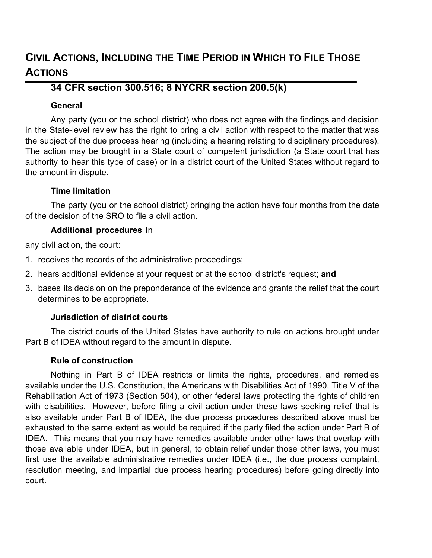# **CIVIL ACTIONS, INCLUDING THE TIME PERIOD IN WHICH TO FILE THOSE ACTIONS**

## **34 CFR section 300.516; 8 NYCRR section 200.5(k)**

### **General**

Any party (you or the school district) who does not agree with the findings and decision in the State-level review has the right to bring a civil action with respect to the matter that was the subject of the due process hearing (including a hearing relating to disciplinary procedures). The action may be brought in a State court of competent jurisdiction (a State court that has authority to hear this type of case) or in a district court of the United States without regard to the amount in dispute.

### **Time limitation**

The party (you or the school district) bringing the action have four months from the date of the decision of the SRO to file a civil action.

### **Additional procedures** In

any civil action, the court:

- 1. receives the records of the administrative proceedings;
- 2. hears additional evidence at your request or at the school district's request; **and**
- 3. bases its decision on the preponderance of the evidence and grants the relief that the court determines to be appropriate.

## **Jurisdiction of district courts**

The district courts of the United States have authority to rule on actions brought under Part B of IDEA without regard to the amount in dispute.

### **Rule of construction**

Nothing in Part B of IDEA restricts or limits the rights, procedures, and remedies available under the U.S. Constitution, the Americans with Disabilities Act of 1990, Title V of the Rehabilitation Act of 1973 (Section 504), or other federal laws protecting the rights of children with disabilities. However, before filing a civil action under these laws seeking relief that is also available under Part B of IDEA, the due process procedures described above must be exhausted to the same extent as would be required if the party filed the action under Part B of IDEA. This means that you may have remedies available under other laws that overlap with those available under IDEA, but in general, to obtain relief under those other laws, you must first use the available administrative remedies under IDEA (i.e., the due process complaint, resolution meeting, and impartial due process hearing procedures) before going directly into court.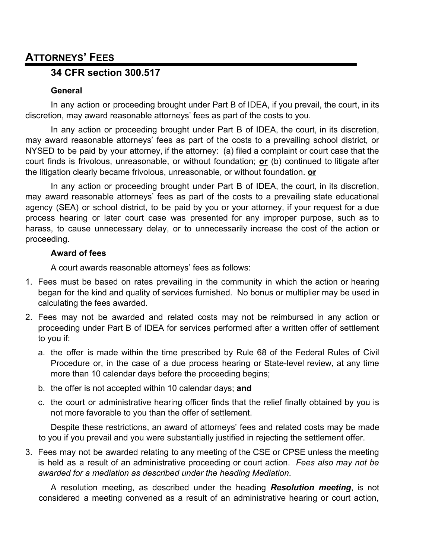# **ATTORNEYS' FEES**

## **34 CFR section 300.517**

### **General**

In any action or proceeding brought under Part B of IDEA, if you prevail, the court, in its discretion, may award reasonable attorneys' fees as part of the costs to you.

In any action or proceeding brought under Part B of IDEA, the court, in its discretion, may award reasonable attorneys' fees as part of the costs to a prevailing school district, or NYSED to be paid by your attorney, if the attorney: (a) filed a complaint or court case that the court finds is frivolous, unreasonable, or without foundation; **or** (b) continued to litigate after the litigation clearly became frivolous, unreasonable, or without foundation. **or**

In any action or proceeding brought under Part B of IDEA, the court, in its discretion, may award reasonable attorneys' fees as part of the costs to a prevailing state educational agency (SEA) or school district, to be paid by you or your attorney, if your request for a due process hearing or later court case was presented for any improper purpose, such as to harass, to cause unnecessary delay, or to unnecessarily increase the cost of the action or proceeding.

### **Award of fees**

A court awards reasonable attorneys' fees as follows:

- 1. Fees must be based on rates prevailing in the community in which the action or hearing began for the kind and quality of services furnished. No bonus or multiplier may be used in calculating the fees awarded.
- 2. Fees may not be awarded and related costs may not be reimbursed in any action or proceeding under Part B of IDEA for services performed after a written offer of settlement to you if:
	- a. the offer is made within the time prescribed by Rule 68 of the Federal Rules of Civil Procedure or, in the case of a due process hearing or State-level review, at any time more than 10 calendar days before the proceeding begins;
	- b. the offer is not accepted within 10 calendar days; **and**
	- c. the court or administrative hearing officer finds that the relief finally obtained by you is not more favorable to you than the offer of settlement.

Despite these restrictions, an award of attorneys' fees and related costs may be made to you if you prevail and you were substantially justified in rejecting the settlement offer.

3. Fees may not be awarded relating to any meeting of the CSE or CPSE unless the meeting is held as a result of an administrative proceeding or court action. *Fees also may not be awarded for a mediation as described under the heading Mediation*.

A resolution meeting, as described under the heading *Resolution meeting*, is not considered a meeting convened as a result of an administrative hearing or court action,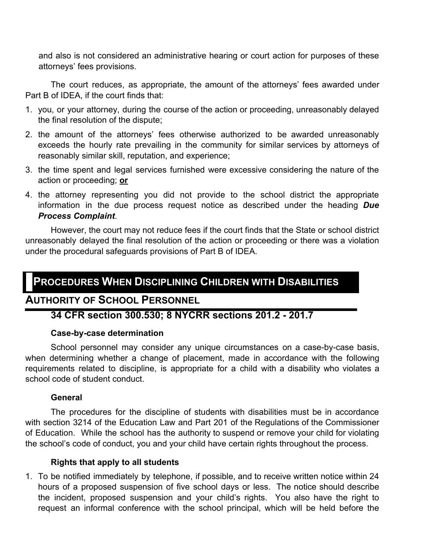and also is not considered an administrative hearing or court action for purposes of these attorneys' fees provisions.

The court reduces, as appropriate, the amount of the attorneys' fees awarded under Part B of IDEA, if the court finds that:

- 1. you, or your attorney, during the course of the action or proceeding, unreasonably delayed the final resolution of the dispute;
- 2. the amount of the attorneys' fees otherwise authorized to be awarded unreasonably exceeds the hourly rate prevailing in the community for similar services by attorneys of reasonably similar skill, reputation, and experience;
- 3. the time spent and legal services furnished were excessive considering the nature of the action or proceeding; **or**
- 4. the attorney representing you did not provide to the school district the appropriate information in the due process request notice as described under the heading *Due Process Complaint*.

However, the court may not reduce fees if the court finds that the State or school district unreasonably delayed the final resolution of the action or proceeding or there was a violation under the procedural safeguards provisions of Part B of IDEA.

# **PROCEDURES WHEN DISCIPLINING CHILDREN WITH DISABILITIES**

## **AUTHORITY OF SCHOOL PERSONNEL**

## **34 CFR section 300.530; 8 NYCRR sections 201.2 - 201.7**

### **Case-by-case determination**

School personnel may consider any unique circumstances on a case-by-case basis, when determining whether a change of placement, made in accordance with the following requirements related to discipline, is appropriate for a child with a disability who violates a school code of student conduct.

### **General**

The procedures for the discipline of students with disabilities must be in accordance with section 3214 of the Education Law and Part 201 of the Regulations of the Commissioner of Education. While the school has the authority to suspend or remove your child for violating the school's code of conduct, you and your child have certain rights throughout the process.

### **Rights that apply to all students**

1. To be notified immediately by telephone, if possible, and to receive written notice within 24 hours of a proposed suspension of five school days or less. The notice should describe the incident, proposed suspension and your child's rights. You also have the right to request an informal conference with the school principal, which will be held before the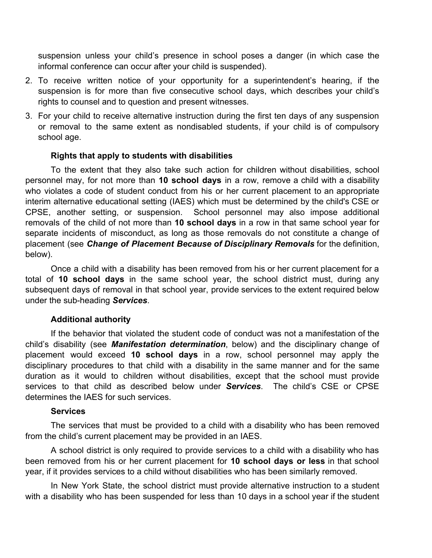suspension unless your child's presence in school poses a danger (in which case the informal conference can occur after your child is suspended).

- 2. To receive written notice of your opportunity for a superintendent's hearing, if the suspension is for more than five consecutive school days, which describes your child's rights to counsel and to question and present witnesses.
- 3. For your child to receive alternative instruction during the first ten days of any suspension or removal to the same extent as nondisabled students, if your child is of compulsory school age.

#### **Rights that apply to students with disabilities**

To the extent that they also take such action for children without disabilities, school personnel may, for not more than **10 school days** in a row, remove a child with a disability who violates a code of student conduct from his or her current placement to an appropriate interim alternative educational setting (IAES) which must be determined by the child's CSE or CPSE, another setting, or suspension. School personnel may also impose additional removals of the child of not more than **10 school days** in a row in that same school year for separate incidents of misconduct, as long as those removals do not constitute a change of placement (see *Change of Placement Because of Disciplinary Removals* for the definition, below).

Once a child with a disability has been removed from his or her current placement for a total of **10 school days** in the same school year, the school district must, during any subsequent days of removal in that school year, provide services to the extent required below under the sub-heading *Services*.

#### **Additional authority**

If the behavior that violated the student code of conduct was not a manifestation of the child's disability (see *Manifestation determination*, below) and the disciplinary change of placement would exceed **10 school days** in a row, school personnel may apply the disciplinary procedures to that child with a disability in the same manner and for the same duration as it would to children without disabilities, except that the school must provide services to that child as described below under *Services*. The child's CSE or CPSE determines the IAES for such services.

#### **Services**

The services that must be provided to a child with a disability who has been removed from the child's current placement may be provided in an IAES.

A school district is only required to provide services to a child with a disability who has been removed from his or her current placement for **10 school days or less** in that school year, if it provides services to a child without disabilities who has been similarly removed.

In New York State, the school district must provide alternative instruction to a student with a disability who has been suspended for less than 10 days in a school year if the student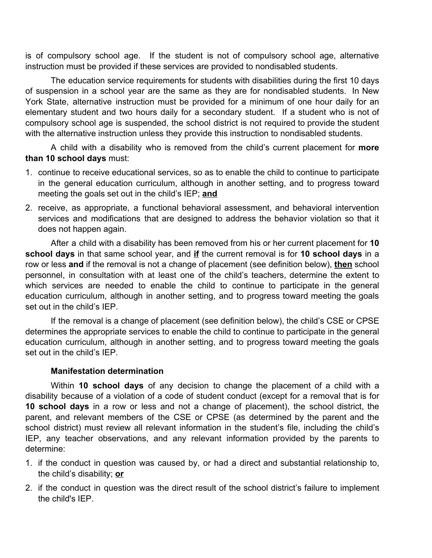is of compulsory school age. If the student is not of compulsory school age, alternative instruction must be provided if these services are provided to nondisabled students.

The education service requirements for students with disabilities during the first 10 days of suspension in a school year are the same as they are for nondisabled students. In New York State, alternative instruction must be provided for a minimum of one hour daily for an elementary student and two hours daily for a secondary student. If a student who is not of compulsory school age is suspended, the school district is not required to provide the student with the alternative instruction unless they provide this instruction to nondisabled students.

A child with a disability who is removed from the child's current placement for **more than 10 school days** must:

- 1. continue to receive educational services, so as to enable the child to continue to participate in the general education curriculum, although in another setting, and to progress toward meeting the goals set out in the child's IEP; **and**
- 2. receive, as appropriate, a functional behavioral assessment, and behavioral intervention services and modifications that are designed to address the behavior violation so that it does not happen again.

After a child with a disability has been removed from his or her current placement for **10 school days** in that same school year, and **if** the current removal is for **10 school days** in a row or less **and** if the removal is not a change of placement (see definition below), **then** school personnel, in consultation with at least one of the child's teachers, determine the extent to which services are needed to enable the child to continue to participate in the general education curriculum, although in another setting, and to progress toward meeting the goals set out in the child's IEP.

If the removal is a change of placement (see definition below), the child's CSE or CPSE determines the appropriate services to enable the child to continue to participate in the general education curriculum, although in another setting, and to progress toward meeting the goals set out in the child's IEP.

### **Manifestation determination**

Within **10 school days** of any decision to change the placement of a child with a disability because of a violation of a code of student conduct (except for a removal that is for **10 school days** in a row or less and not a change of placement), the school district, the parent, and relevant members of the CSE or CPSE (as determined by the parent and the school district) must review all relevant information in the student's file, including the child's IEP, any teacher observations, and any relevant information provided by the parents to determine:

- 1. if the conduct in question was caused by, or had a direct and substantial relationship to, the child's disability; **or**
- 2. if the conduct in question was the direct result of the school district's failure to implement the child's IEP.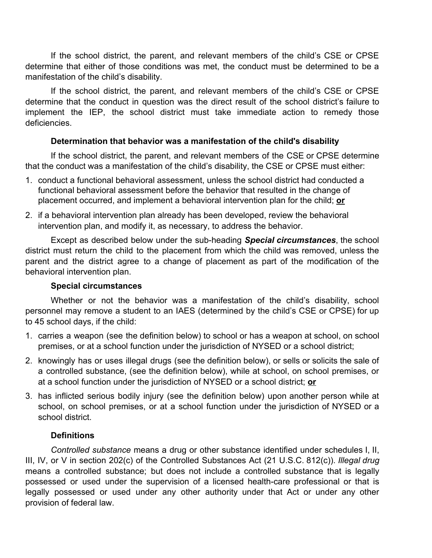If the school district, the parent, and relevant members of the child's CSE or CPSE determine that either of those conditions was met, the conduct must be determined to be a manifestation of the child's disability.

If the school district, the parent, and relevant members of the child's CSE or CPSE determine that the conduct in question was the direct result of the school district's failure to implement the IEP, the school district must take immediate action to remedy those deficiencies.

### **Determination that behavior was a manifestation of the child's disability**

If the school district, the parent, and relevant members of the CSE or CPSE determine that the conduct was a manifestation of the child's disability, the CSE or CPSE must either:

- 1. conduct a functional behavioral assessment, unless the school district had conducted a functional behavioral assessment before the behavior that resulted in the change of placement occurred, and implement a behavioral intervention plan for the child; **or**
- 2. if a behavioral intervention plan already has been developed, review the behavioral intervention plan, and modify it, as necessary, to address the behavior.

Except as described below under the sub-heading *Special circumstances*, the school district must return the child to the placement from which the child was removed, unless the parent and the district agree to a change of placement as part of the modification of the behavioral intervention plan.

### **Special circumstances**

Whether or not the behavior was a manifestation of the child's disability, school personnel may remove a student to an IAES (determined by the child's CSE or CPSE) for up to 45 school days, if the child:

- 1. carries a weapon (see the definition below) to school or has a weapon at school, on school premises, or at a school function under the jurisdiction of NYSED or a school district;
- 2. knowingly has or uses illegal drugs (see the definition below), or sells or solicits the sale of a controlled substance, (see the definition below), while at school, on school premises, or at a school function under the jurisdiction of NYSED or a school district; **or**
- 3. has inflicted serious bodily injury (see the definition below) upon another person while at school, on school premises, or at a school function under the jurisdiction of NYSED or a school district.

### **Definitions**

*Controlled substance* means a drug or other substance identified under schedules I, II, III, IV, or V in section 202(c) of the Controlled Substances Act (21 U.S.C. 812(c)). *Illegal drug* means a controlled substance; but does not include a controlled substance that is legally possessed or used under the supervision of a licensed health-care professional or that is legally possessed or used under any other authority under that Act or under any other provision of federal law.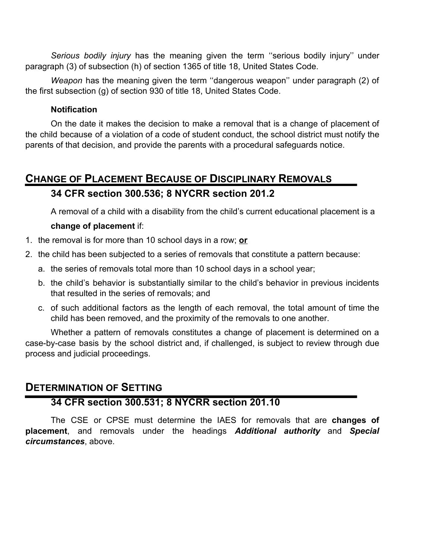*Serious bodily injury* has the meaning given the term ''serious bodily injury'' under paragraph (3) of subsection (h) of section 1365 of title 18, United States Code.

*Weapon* has the meaning given the term ''dangerous weapon'' under paragraph (2) of the first subsection (g) of section 930 of title 18, United States Code.

### **Notification**

On the date it makes the decision to make a removal that is a change of placement of the child because of a violation of a code of student conduct, the school district must notify the parents of that decision, and provide the parents with a procedural safeguards notice.

# **CHANGE OF PLACEMENT BECAUSE OF DISCIPLINARY REMOVALS**

## **34 CFR section 300.536; 8 NYCRR section 201.2**

A removal of a child with a disability from the child's current educational placement is a

### **change of placement** if:

- 1. the removal is for more than 10 school days in a row; **or**
- 2. the child has been subjected to a series of removals that constitute a pattern because:
	- a. the series of removals total more than 10 school days in a school year;
	- b. the child's behavior is substantially similar to the child's behavior in previous incidents that resulted in the series of removals; and
	- c. of such additional factors as the length of each removal, the total amount of time the child has been removed, and the proximity of the removals to one another.

Whether a pattern of removals constitutes a change of placement is determined on a case-by-case basis by the school district and, if challenged, is subject to review through due process and judicial proceedings.

## **DETERMINATION OF SETTING**

## **34 CFR section 300.531; 8 NYCRR section 201.10**

The CSE or CPSE must determine the IAES for removals that are **changes of placement**, and removals under the headings *Additional authority* and *Special circumstances*, above.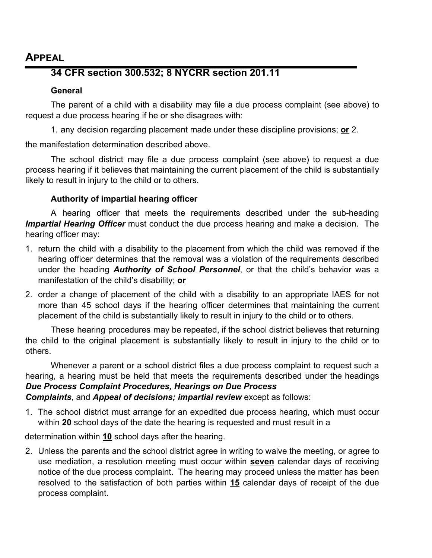## **APPEAL**

## **34 CFR section 300.532; 8 NYCRR section 201.11**

### **General**

The parent of a child with a disability may file a due process complaint (see above) to request a due process hearing if he or she disagrees with:

1. any decision regarding placement made under these discipline provisions; **or** 2.

the manifestation determination described above.

The school district may file a due process complaint (see above) to request a due process hearing if it believes that maintaining the current placement of the child is substantially likely to result in injury to the child or to others.

## **Authority of impartial hearing officer**

A hearing officer that meets the requirements described under the sub-heading *Impartial Hearing Officer* must conduct the due process hearing and make a decision. The hearing officer may:

- 1. return the child with a disability to the placement from which the child was removed if the hearing officer determines that the removal was a violation of the requirements described under the heading *Authority of School Personnel*, or that the child's behavior was a manifestation of the child's disability; **or**
- 2. order a change of placement of the child with a disability to an appropriate IAES for not more than 45 school days if the hearing officer determines that maintaining the current placement of the child is substantially likely to result in injury to the child or to others.

These hearing procedures may be repeated, if the school district believes that returning the child to the original placement is substantially likely to result in injury to the child or to others.

Whenever a parent or a school district files a due process complaint to request such a hearing, a hearing must be held that meets the requirements described under the headings *Due Process Complaint Procedures, Hearings on Due Process Complaints*, and *Appeal of decisions; impartial review* except as follows:

1. The school district must arrange for an expedited due process hearing, which must occur within **20** school days of the date the hearing is requested and must result in a

determination within **10** school days after the hearing.

2. Unless the parents and the school district agree in writing to waive the meeting, or agree to use mediation, a resolution meeting must occur within **seven** calendar days of receiving notice of the due process complaint. The hearing may proceed unless the matter has been resolved to the satisfaction of both parties within **15** calendar days of receipt of the due process complaint.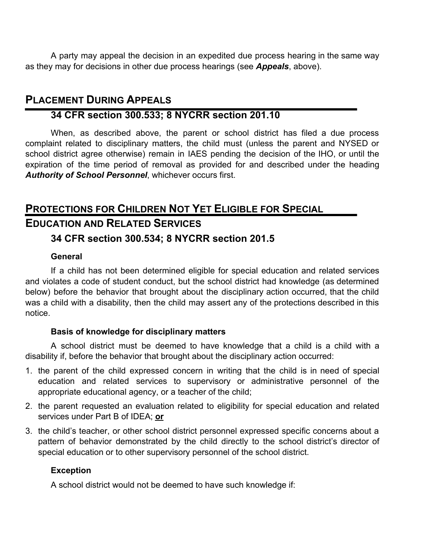A party may appeal the decision in an expedited due process hearing in the same way as they may for decisions in other due process hearings (see *Appeals*, above).

# **PLACEMENT DURING APPEALS**

## **34 CFR section 300.533; 8 NYCRR section 201.10**

When, as described above, the parent or school district has filed a due process complaint related to disciplinary matters, the child must (unless the parent and NYSED or school district agree otherwise) remain in IAES pending the decision of the IHO, or until the expiration of the time period of removal as provided for and described under the heading *Authority of School Personnel*, whichever occurs first.

# **PROTECTIONS FOR CHILDREN NOT YET ELIGIBLE FOR SPECIAL EDUCATION AND RELATED SERVICES**

## **34 CFR section 300.534; 8 NYCRR section 201.5**

### **General**

If a child has not been determined eligible for special education and related services and violates a code of student conduct, but the school district had knowledge (as determined below) before the behavior that brought about the disciplinary action occurred, that the child was a child with a disability, then the child may assert any of the protections described in this notice.

### **Basis of knowledge for disciplinary matters**

A school district must be deemed to have knowledge that a child is a child with a disability if, before the behavior that brought about the disciplinary action occurred:

- 1. the parent of the child expressed concern in writing that the child is in need of special education and related services to supervisory or administrative personnel of the appropriate educational agency, or a teacher of the child;
- 2. the parent requested an evaluation related to eligibility for special education and related services under Part B of IDEA; **or**
- 3. the child's teacher, or other school district personnel expressed specific concerns about a pattern of behavior demonstrated by the child directly to the school district's director of special education or to other supervisory personnel of the school district.

## **Exception**

A school district would not be deemed to have such knowledge if: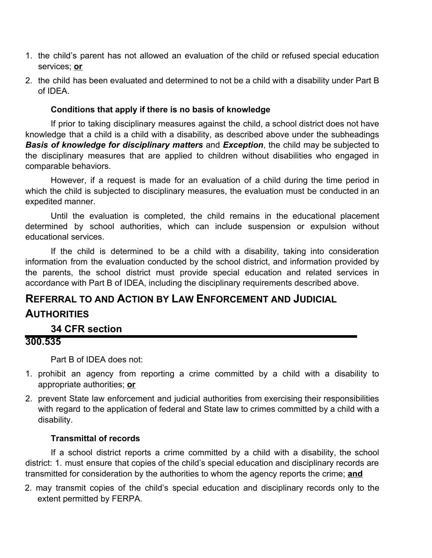- 1. the child's parent has not allowed an evaluation of the child or refused special education services; **or**
- 2. the child has been evaluated and determined to not be a child with a disability under Part B of IDEA.

### **Conditions that apply if there is no basis of knowledge**

If prior to taking disciplinary measures against the child, a school district does not have knowledge that a child is a child with a disability, as described above under the subheadings *Basis of knowledge for disciplinary matters* and *Exception*, the child may be subjected to the disciplinary measures that are applied to children without disabilities who engaged in comparable behaviors.

However, if a request is made for an evaluation of a child during the time period in which the child is subjected to disciplinary measures, the evaluation must be conducted in an expedited manner.

Until the evaluation is completed, the child remains in the educational placement determined by school authorities, which can include suspension or expulsion without educational services.

If the child is determined to be a child with a disability, taking into consideration information from the evaluation conducted by the school district, and information provided by the parents, the school district must provide special education and related services in accordance with Part B of IDEA, including the disciplinary requirements described above.

# **REFERRAL TO AND ACTION BY LAW ENFORCEMENT AND JUDICIAL AUTHORITIES**

## **34 CFR section**

### **300.535**

Part B of IDEA does not:

- 1. prohibit an agency from reporting a crime committed by a child with a disability to appropriate authorities; **or**
- 2. prevent State law enforcement and judicial authorities from exercising their responsibilities with regard to the application of federal and State law to crimes committed by a child with a disability.

### **Transmittal of records**

If a school district reports a crime committed by a child with a disability, the school district: 1. must ensure that copies of the child's special education and disciplinary records are transmitted for consideration by the authorities to whom the agency reports the crime; **and**

2. may transmit copies of the child's special education and disciplinary records only to the extent permitted by FERPA.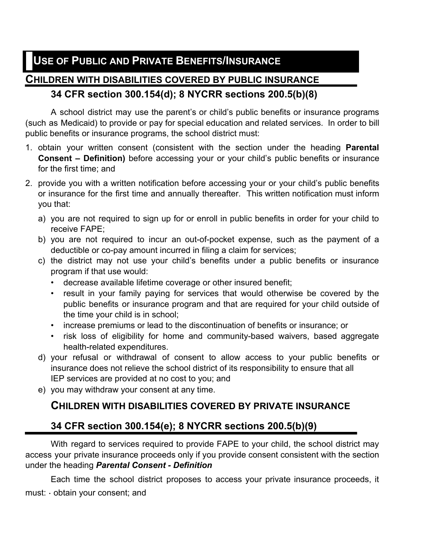## **CHILDREN WITH DISABILITIES COVERED BY PUBLIC INSURANCE**

## **34 CFR section 300.154(d); 8 NYCRR sections 200.5(b)(8)**

A school district may use the parent's or child's public benefits or insurance programs (such as Medicaid) to provide or pay for special education and related services. In order to bill public benefits or insurance programs, the school district must:

- 1. obtain your written consent (consistent with the section under the heading **Parental Consent – Definition)** before accessing your or your child's public benefits or insurance for the first time; and
- 2. provide you with a written notification before accessing your or your child's public benefits or insurance for the first time and annually thereafter. This written notification must inform you that:
	- a) you are not required to sign up for or enroll in public benefits in order for your child to receive FAPE;
	- b) you are not required to incur an out-of-pocket expense, such as the payment of a deductible or co-pay amount incurred in filing a claim for services;
	- c) the district may not use your child's benefits under a public benefits or insurance program if that use would:
		- decrease available lifetime coverage or other insured benefit;
		- result in your family paying for services that would otherwise be covered by the public benefits or insurance program and that are required for your child outside of the time your child is in school;
		- increase premiums or lead to the discontinuation of benefits or insurance; or
		- risk loss of eligibility for home and community-based waivers, based aggregate health-related expenditures.
	- d) your refusal or withdrawal of consent to allow access to your public benefits or insurance does not relieve the school district of its responsibility to ensure that all IEP services are provided at no cost to you; and
	- e) you may withdraw your consent at any time.

## **CHILDREN WITH DISABILITIES COVERED BY PRIVATE INSURANCE**

## **34 CFR section 300.154(e); 8 NYCRR sections 200.5(b)(9)**

With regard to services required to provide FAPE to your child, the school district may access your private insurance proceeds only if you provide consent consistent with the section under the heading *Parental Consent - Definition*

Each time the school district proposes to access your private insurance proceeds, it must: • obtain your consent; and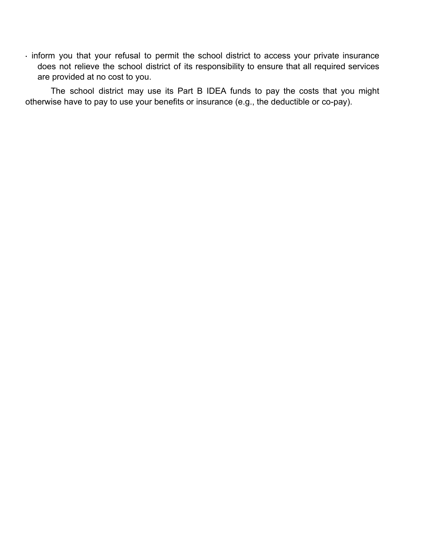• inform you that your refusal to permit the school district to access your private insurance does not relieve the school district of its responsibility to ensure that all required services are provided at no cost to you.

The school district may use its Part B IDEA funds to pay the costs that you might otherwise have to pay to use your benefits or insurance (e.g., the deductible or co-pay).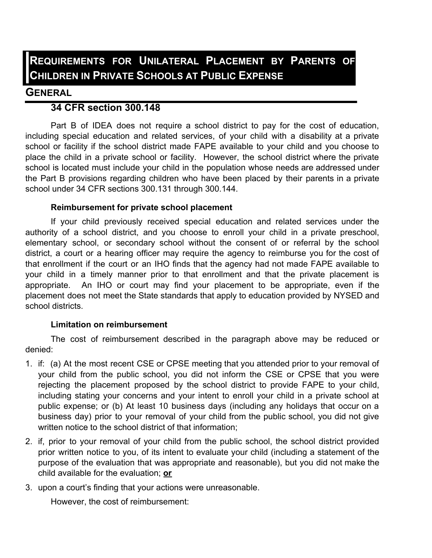# **REQUIREMENTS FOR UNILATERAL PLACEMENT BY PARENTS OF CHILDREN IN PRIVATE SCHOOLS AT PUBLIC EXPENSE**

## **GENERAL**

## **34 CFR section 300.148**

Part B of IDEA does not require a school district to pay for the cost of education, including special education and related services, of your child with a disability at a private school or facility if the school district made FAPE available to your child and you choose to place the child in a private school or facility. However, the school district where the private school is located must include your child in the population whose needs are addressed under the Part B provisions regarding children who have been placed by their parents in a private school under 34 CFR sections 300.131 through 300.144.

### **Reimbursement for private school placement**

If your child previously received special education and related services under the authority of a school district, and you choose to enroll your child in a private preschool, elementary school, or secondary school without the consent of or referral by the school district, a court or a hearing officer may require the agency to reimburse you for the cost of that enrollment if the court or an IHO finds that the agency had not made FAPE available to your child in a timely manner prior to that enrollment and that the private placement is appropriate. An IHO or court may find your placement to be appropriate, even if the placement does not meet the State standards that apply to education provided by NYSED and school districts.

### **Limitation on reimbursement**

The cost of reimbursement described in the paragraph above may be reduced or denied:

- 1. if: (a) At the most recent CSE or CPSE meeting that you attended prior to your removal of your child from the public school, you did not inform the CSE or CPSE that you were rejecting the placement proposed by the school district to provide FAPE to your child, including stating your concerns and your intent to enroll your child in a private school at public expense; or (b) At least 10 business days (including any holidays that occur on a business day) prior to your removal of your child from the public school, you did not give written notice to the school district of that information;
- 2. if, prior to your removal of your child from the public school, the school district provided prior written notice to you, of its intent to evaluate your child (including a statement of the purpose of the evaluation that was appropriate and reasonable), but you did not make the child available for the evaluation; **or**
- 3. upon a court's finding that your actions were unreasonable.

However, the cost of reimbursement: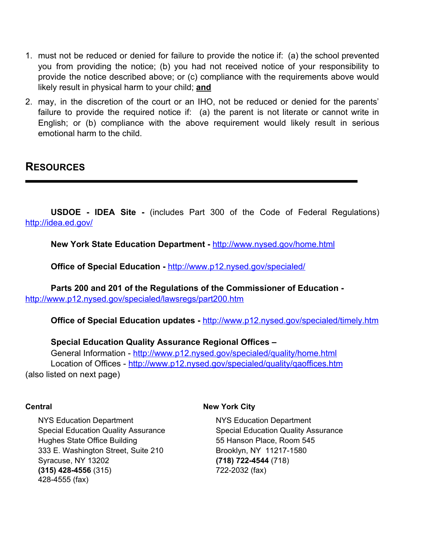- 1. must not be reduced or denied for failure to provide the notice if: (a) the school prevented you from providing the notice; (b) you had not received notice of your responsibility to provide the notice described above; or (c) compliance with the requirements above would likely result in physical harm to your child; **and**
- 2. may, in the discretion of the court or an IHO, not be reduced or denied for the parents' failure to provide the required notice if: (a) the parent is not literate or cannot write in English; or (b) compliance with the above requirement would likely result in serious emotional harm to the child.

## **RESOURCES**

**USDOE - IDEA Site -** (includes Part 300 of the Code of Federal Regulations) http://idea.ed.gov/

**New York State Education Department -** http://www.nysed.gov/home.html

**Office of Special Education -** http://www.p12.nysed.gov/specialed/

**Parts 200 and 201 of the Regulations of the Commissioner of Education**  http://www.p12.nysed.gov/specialed/lawsregs/part200.htm

**Office of Special Education updates -** http://www.p12.nysed.gov/specialed/timely.htm

#### **Special Education Quality Assurance Regional Offices –**

General Information - http://www.p12.nysed.gov/specialed/quality/home.html Location of Offices - http://www.p12.nysed.gov/specialed/quality/qaoffices.htm (also listed on next page)

#### **Central**

NYS Education Department Special Education Quality Assurance Hughes State Office Building 333 E. Washington Street, Suite 210 Syracuse, NY 13202 **(315) 428-4556** (315) 428-4555 (fax)

#### **New York City**

NYS Education Department Special Education Quality Assurance 55 Hanson Place, Room 545 Brooklyn, NY 11217-1580 **(718) 722-4544** (718) 722-2032 (fax)